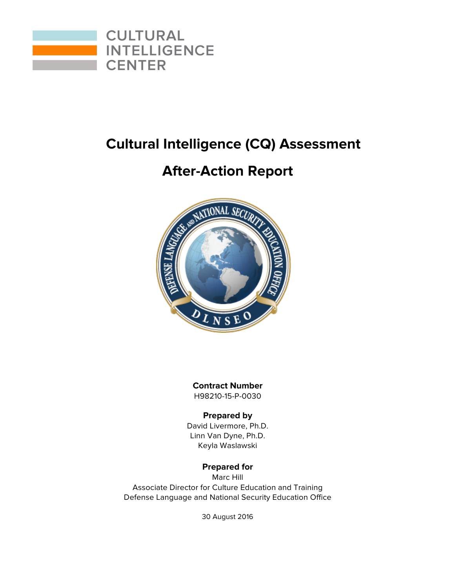

## **Cultural Intelligence (CQ) Assessment**

## **After-Action Report**



**Contract Number** H98210-15-P-0030

### **Prepared by**

David Livermore, Ph.D. Linn Van Dyne, Ph.D. Keyla Waslawski

## **Prepared for**

Marc Hill Associate Director for Culture Education and Training Defense Language and National Security Education Office

30 August 2016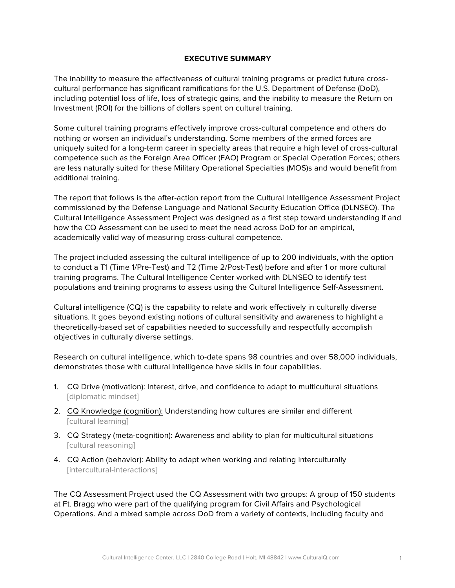#### **EXECUTIVE SUMMARY**

The inability to measure the effectiveness of cultural training programs or predict future crosscultural performance has significant ramifications for the U.S. Department of Defense (DoD), including potential loss of life, loss of strategic gains, and the inability to measure the Return on Investment (ROI) for the billions of dollars spent on cultural training.

Some cultural training programs effectively improve cross-cultural competence and others do nothing or worsen an individual's understanding. Some members of the armed forces are uniquely suited for a long-term career in specialty areas that require a high level of cross-cultural competence such as the Foreign Area Officer (FAO) Program or Special Operation Forces; others are less naturally suited for these Military Operational Specialties (MOS)s and would benefit from additional training.

The report that follows is the after-action report from the Cultural Intelligence Assessment Project commissioned by the Defense Language and National Security Education Office (DLNSEO). The Cultural Intelligence Assessment Project was designed as a first step toward understanding if and how the CQ Assessment can be used to meet the need across DoD for an empirical, academically valid way of measuring cross-cultural competence.

The project included assessing the cultural intelligence of up to 200 individuals, with the option to conduct a T1 (Time 1/Pre-Test) and T2 (Time 2/Post-Test) before and after 1 or more cultural training programs. The Cultural Intelligence Center worked with DLNSEO to identify test populations and training programs to assess using the Cultural Intelligence Self-Assessment.

Cultural intelligence (CQ) is the capability to relate and work effectively in culturally diverse situations. It goes beyond existing notions of cultural sensitivity and awareness to highlight a theoretically-based set of capabilities needed to successfully and respectfully accomplish objectives in culturally diverse settings.

Research on cultural intelligence, which to-date spans 98 countries and over 58,000 individuals, demonstrates those with cultural intelligence have skills in four capabilities.

- 1. CQ Drive (motivation): Interest, drive, and confidence to adapt to multicultural situations [diplomatic mindset]
- 2. CQ Knowledge (cognition): Understanding how cultures are similar and different [cultural learning]
- 3. CQ Strategy (meta-cognition): Awareness and ability to plan for multicultural situations [cultural reasoning]
- 4. CQ Action (behavior): Ability to adapt when working and relating interculturally [intercultural-interactions]

The CQ Assessment Project used the CQ Assessment with two groups: A group of 150 students at Ft. Bragg who were part of the qualifying program for Civil Affairs and Psychological Operations. And a mixed sample across DoD from a variety of contexts, including faculty and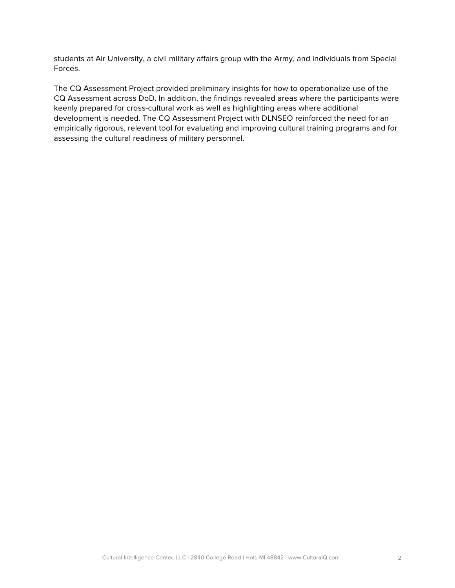students at Air University, a civil military affairs group with the Army, and individuals from Special Forces.

The CQ Assessment Project provided preliminary insights for how to operationalize use of the CQ Assessment across DoD. In addition, the findings revealed areas where the participants were keenly prepared for cross-cultural work as well as highlighting areas where additional development is needed. The CQ Assessment Project with DLNSEO reinforced the need for an empirically rigorous, relevant tool for evaluating and improving cultural training programs and for assessing the cultural readiness of military personnel.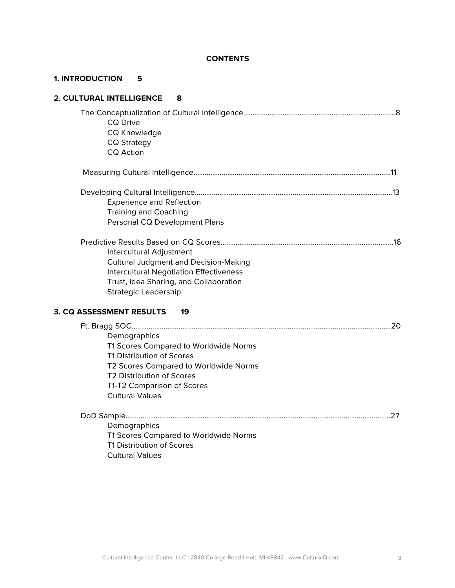#### **CONTENTS**

### **1. INTRODUCTION 5**

| 2. CULTURAL INTELLIGENCE<br>8                                                                                                                                                                                    |  |
|------------------------------------------------------------------------------------------------------------------------------------------------------------------------------------------------------------------|--|
| <b>CQ Drive</b><br>CQ Knowledge<br><b>CQ Strategy</b><br><b>CQ Action</b>                                                                                                                                        |  |
|                                                                                                                                                                                                                  |  |
| <b>Experience and Reflection</b><br><b>Training and Coaching</b><br>Personal CQ Development Plans                                                                                                                |  |
| Intercultural Adjustment<br><b>Cultural Judgment and Decision-Making</b><br>Intercultural Negotiation Effectiveness<br>Trust, Idea Sharing, and Collaboration<br><b>Strategic Leadership</b>                     |  |
| <b>3. CQ ASSESSMENT RESULTS</b><br>19                                                                                                                                                                            |  |
| Demographics<br>T1 Scores Compared to Worldwide Norms<br>T1 Distribution of Scores<br>T2 Scores Compared to Worldwide Norms<br>T2 Distribution of Scores<br>T1-T2 Comparison of Scores<br><b>Cultural Values</b> |  |
|                                                                                                                                                                                                                  |  |
| Demographics                                                                                                                                                                                                     |  |
| T1 Scores Compared to Worldwide Norms<br>T1 Distribution of Scores                                                                                                                                               |  |

Cultural Values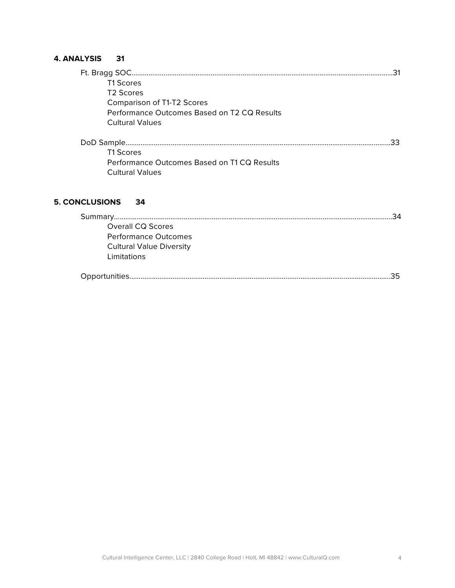### **4. ANALYSIS 31**

| <b>T1 Scores</b>                            |    |
|---------------------------------------------|----|
| T <sub>2</sub> Scores                       |    |
| Comparison of T1-T2 Scores                  |    |
| Performance Outcomes Based on T2 CQ Results |    |
| <b>Cultural Values</b>                      |    |
|                                             |    |
|                                             | 33 |
| <b>T1 Scores</b>                            |    |
| Performance Outcomes Based on T1 CQ Results |    |
| <b>Cultural Values</b>                      |    |
|                                             |    |

## **5. CONCLUSIONS 34**

| Overall CQ Scores               |
|---------------------------------|
| Performance Outcomes            |
| <b>Cultural Value Diversity</b> |
| Limitations                     |
|                                 |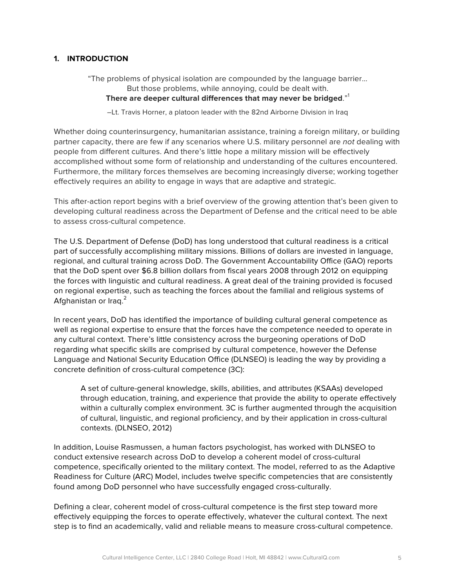#### **1. INTRODUCTION**

"The problems of physical isolation are compounded by the language barrier… But those problems, while annoying, could be dealt with. **There are deeper cultural differences that may never be bridged**."<sup>1</sup>

–Lt. Travis Horner, a platoon leader with the 82nd Airborne Division in Iraq

Whether doing counterinsurgency, humanitarian assistance, training a foreign military, or building partner capacity, there are few if any scenarios where U.S. military personnel are *not* dealing with people from different cultures. And there's little hope a military mission will be effectively accomplished without some form of relationship and understanding of the cultures encountered. Furthermore, the military forces themselves are becoming increasingly diverse; working together effectively requires an ability to engage in ways that are adaptive and strategic.

This after-action report begins with a brief overview of the growing attention that's been given to developing cultural readiness across the Department of Defense and the critical need to be able to assess cross-cultural competence.

The U.S. Department of Defense (DoD) has long understood that cultural readiness is a critical part of successfully accomplishing military missions. Billions of dollars are invested in language, regional, and cultural training across DoD. The Government Accountability Office (GAO) reports that the DoD spent over \$6.8 billion dollars from fiscal years 2008 through 2012 on equipping the forces with linguistic and cultural readiness. A great deal of the training provided is focused on regional expertise, such as teaching the forces about the familial and religious systems of Afghanistan or Iraq.<sup>2</sup>

In recent years, DoD has identified the importance of building cultural general competence as well as regional expertise to ensure that the forces have the competence needed to operate in any cultural context. There's little consistency across the burgeoning operations of DoD regarding what specific skills are comprised by cultural competence, however the Defense Language and National Security Education Office (DLNSEO) is leading the way by providing a concrete definition of cross-cultural competence (3C):

A set of culture-general knowledge, skills, abilities, and attributes (KSAAs) developed through education, training, and experience that provide the ability to operate effectively within a culturally complex environment. 3C is further augmented through the acquisition of cultural, linguistic, and regional proficiency, and by their application in cross-cultural contexts. (DLNSEO, 2012)

In addition, Louise Rasmussen, a human factors psychologist, has worked with DLNSEO to conduct extensive research across DoD to develop a coherent model of cross-cultural competence, specifically oriented to the military context. The model, referred to as the Adaptive Readiness for Culture (ARC) Model, includes twelve specific competencies that are consistently found among DoD personnel who have successfully engaged cross-culturally.

Defining a clear, coherent model of cross-cultural competence is the first step toward more effectively equipping the forces to operate effectively, whatever the cultural context. The next step is to find an academically, valid and reliable means to measure cross-cultural competence.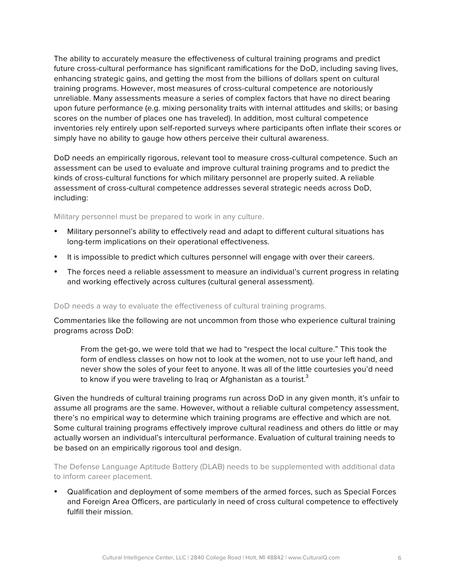The ability to accurately measure the effectiveness of cultural training programs and predict future cross-cultural performance has significant ramifications for the DoD, including saving lives, enhancing strategic gains, and getting the most from the billions of dollars spent on cultural training programs. However, most measures of cross-cultural competence are notoriously unreliable. Many assessments measure a series of complex factors that have no direct bearing upon future performance (e.g. mixing personality traits with internal attitudes and skills; or basing scores on the number of places one has traveled). In addition, most cultural competence inventories rely entirely upon self-reported surveys where participants often inflate their scores or simply have no ability to gauge how others perceive their cultural awareness.

DoD needs an empirically rigorous, relevant tool to measure cross-cultural competence. Such an assessment can be used to evaluate and improve cultural training programs and to predict the kinds of cross-cultural functions for which military personnel are properly suited. A reliable assessment of cross-cultural competence addresses several strategic needs across DoD, including:

Military personnel must be prepared to work in any culture.

- Military personnel's ability to effectively read and adapt to different cultural situations has long-term implications on their operational effectiveness.
- It is impossible to predict which cultures personnel will engage with over their careers.
- The forces need a reliable assessment to measure an individual's current progress in relating and working effectively across cultures (cultural general assessment).

#### DoD needs a way to evaluate the effectiveness of cultural training programs.

Commentaries like the following are not uncommon from those who experience cultural training programs across DoD:

From the get-go, we were told that we had to "respect the local culture." This took the form of endless classes on how not to look at the women, not to use your left hand, and never show the soles of your feet to anyone. It was all of the little courtesies you'd need to know if you were traveling to Iraq or Afghanistan as a tourist. $3$ 

Given the hundreds of cultural training programs run across DoD in any given month, it's unfair to assume all programs are the same. However, without a reliable cultural competency assessment, there's no empirical way to determine which training programs are effective and which are not. Some cultural training programs effectively improve cultural readiness and others do little or may actually worsen an individual's intercultural performance. Evaluation of cultural training needs to be based on an empirically rigorous tool and design.

The Defense Language Aptitude Battery (DLAB) needs to be supplemented with additional data to inform career placement.

• Qualification and deployment of some members of the armed forces, such as Special Forces and Foreign Area Officers, are particularly in need of cross cultural competence to effectively fulfill their mission.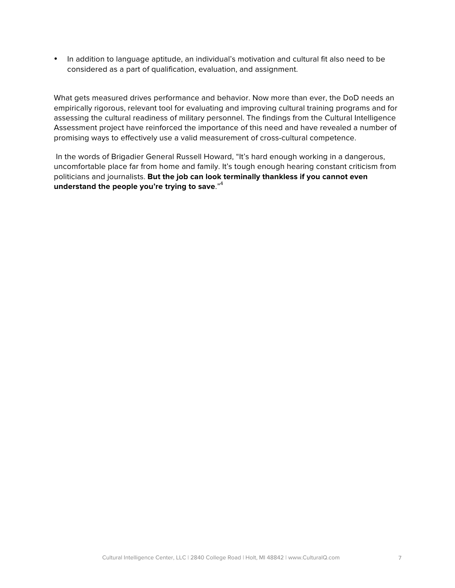• In addition to language aptitude, an individual's motivation and cultural fit also need to be considered as a part of qualification, evaluation, and assignment.

What gets measured drives performance and behavior. Now more than ever, the DoD needs an empirically rigorous, relevant tool for evaluating and improving cultural training programs and for assessing the cultural readiness of military personnel. The findings from the Cultural Intelligence Assessment project have reinforced the importance of this need and have revealed a number of promising ways to effectively use a valid measurement of cross-cultural competence.

In the words of Brigadier General Russell Howard, "It's hard enough working in a dangerous, uncomfortable place far from home and family. It's tough enough hearing constant criticism from politicians and journalists. **But the job can look terminally thankless if you cannot even understand the people you're trying to save**."4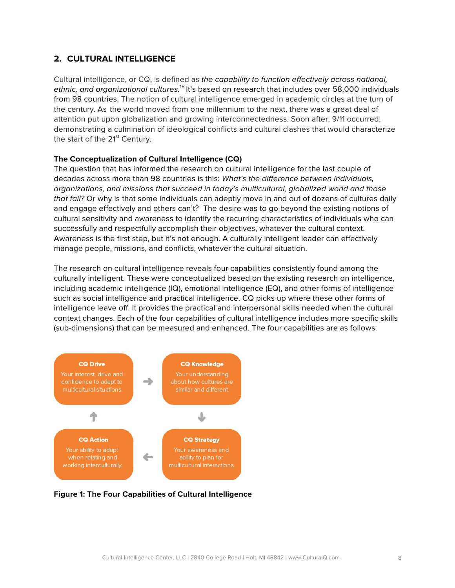### **2. CULTURAL INTELLIGENCE**

Cultural intelligence, or CQ, is defined as *the capability to function effectively across national, ethnic, and organizational cultures.*<sup>15</sup> It's based on research that includes over 58,000 individuals from 98 countries. The notion of cultural intelligence emerged in academic circles at the turn of the century. As the world moved from one millennium to the next, there was a great deal of attention put upon globalization and growing interconnectedness. Soon after, 9/11 occurred, demonstrating a culmination of ideological conflicts and cultural clashes that would characterize the start of the 21<sup>st</sup> Century.

#### **The Conceptualization of Cultural Intelligence (CQ)**

The question that has informed the research on cultural intelligence for the last couple of decades across more than 98 countries is this: *What's the difference between individuals, organizations, and missions that succeed in today's multicultural, globalized world and those that fail?* Or why is that some individuals can adeptly move in and out of dozens of cultures daily and engage effectively and others can't? The desire was to go beyond the existing notions of cultural sensitivity and awareness to identify the recurring characteristics of individuals who can successfully and respectfully accomplish their objectives, whatever the cultural context. Awareness is the first step, but it's not enough. A culturally intelligent leader can effectively manage people, missions, and conflicts, whatever the cultural situation.

The research on cultural intelligence reveals four capabilities consistently found among the culturally intelligent. These were conceptualized based on the existing research on intelligence, including academic intelligence (IQ), emotional intelligence (EQ), and other forms of intelligence such as social intelligence and practical intelligence. CQ picks up where these other forms of intelligence leave off. It provides the practical and interpersonal skills needed when the cultural context changes. Each of the four capabilities of cultural intelligence includes more specific skills (sub-dimensions) that can be measured and enhanced. The four capabilities are as follows:



**Figure 1: The Four Capabilities of Cultural Intelligence**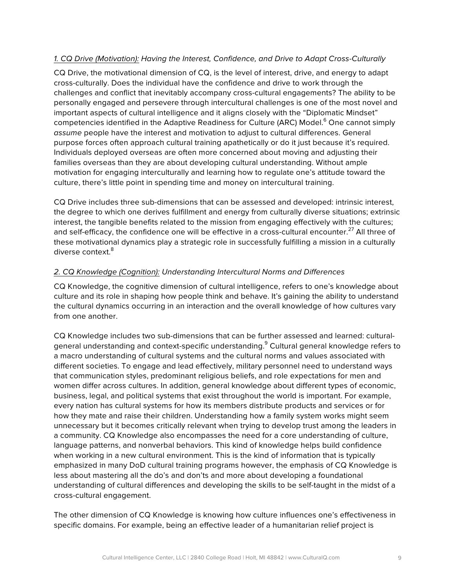#### *1. CQ Drive (Motivation): Having the Interest, Confidence, and Drive to Adapt Cross-Culturally*

CQ Drive, the motivational dimension of CQ, is the level of interest, drive, and energy to adapt cross-culturally. Does the individual have the confidence and drive to work through the challenges and conflict that inevitably accompany cross-cultural engagements? The ability to be personally engaged and persevere through intercultural challenges is one of the most novel and important aspects of cultural intelligence and it aligns closely with the "Diplomatic Mindset" competencies identified in the Adaptive Readiness for Culture (ARC) Model. <sup>6</sup> One cannot simply *assume* people have the interest and motivation to adjust to cultural differences. General purpose forces often approach cultural training apathetically or do it just because it's required. Individuals deployed overseas are often more concerned about moving and adjusting their families overseas than they are about developing cultural understanding. Without ample motivation for engaging interculturally and learning how to regulate one's attitude toward the culture, there's little point in spending time and money on intercultural training.

CQ Drive includes three sub-dimensions that can be assessed and developed: intrinsic interest, the degree to which one derives fulfillment and energy from culturally diverse situations; extrinsic interest, the tangible benefits related to the mission from engaging effectively with the cultures; and self-efficacy, the confidence one will be effective in a cross-cultural encounter.<sup>27</sup> All three of these motivational dynamics play a strategic role in successfully fulfilling a mission in a culturally diverse context.<sup>8</sup>

#### *2. CQ Knowledge (Cognition): Understanding Intercultural Norms and Differences*

CQ Knowledge, the cognitive dimension of cultural intelligence, refers to one's knowledge about culture and its role in shaping how people think and behave. It's gaining the ability to understand the cultural dynamics occurring in an interaction and the overall knowledge of how cultures vary from one another.

CQ Knowledge includes two sub-dimensions that can be further assessed and learned: culturalgeneral understanding and context-specific understanding.<sup>9</sup> Cultural general knowledge refers to a macro understanding of cultural systems and the cultural norms and values associated with different societies. To engage and lead effectively, military personnel need to understand ways that communication styles, predominant religious beliefs, and role expectations for men and women differ across cultures. In addition, general knowledge about different types of economic, business, legal, and political systems that exist throughout the world is important. For example, every nation has cultural systems for how its members distribute products and services or for how they mate and raise their children. Understanding how a family system works might seem unnecessary but it becomes critically relevant when trying to develop trust among the leaders in a community. CQ Knowledge also encompasses the need for a core understanding of culture, language patterns, and nonverbal behaviors. This kind of knowledge helps build confidence when working in a new cultural environment. This is the kind of information that is typically emphasized in many DoD cultural training programs however, the emphasis of CQ Knowledge is less about mastering all the do's and don'ts and more about developing a foundational understanding of cultural differences and developing the skills to be self-taught in the midst of a cross-cultural engagement.

The other dimension of CQ Knowledge is knowing how culture influences one's effectiveness in specific domains. For example, being an effective leader of a humanitarian relief project is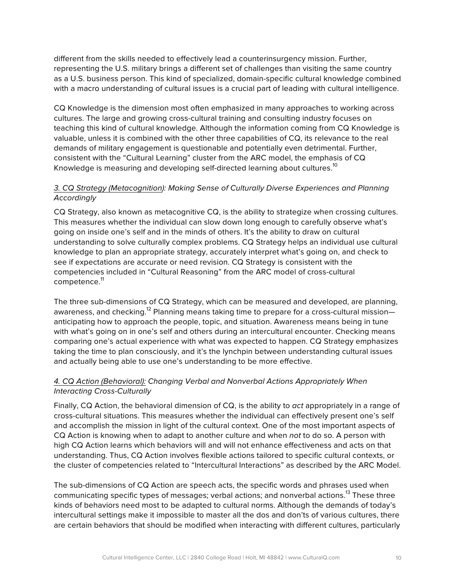different from the skills needed to effectively lead a counterinsurgency mission. Further, representing the U.S. military brings a different set of challenges than visiting the same country as a U.S. business person. This kind of specialized, domain-specific cultural knowledge combined with a macro understanding of cultural issues is a crucial part of leading with cultural intelligence.

CQ Knowledge is the dimension most often emphasized in many approaches to working across cultures. The large and growing cross-cultural training and consulting industry focuses on teaching this kind of cultural knowledge. Although the information coming from CQ Knowledge is valuable, unless it is combined with the other three capabilities of CQ, its relevance to the real demands of military engagement is questionable and potentially even detrimental. Further, consistent with the "Cultural Learning" cluster from the ARC model, the emphasis of CQ Knowledge is measuring and developing self-directed learning about cultures.<sup>10</sup>

#### *3. CQ Strategy (Metacognition): Making Sense of Culturally Diverse Experiences and Planning Accordingly*

CQ Strategy, also known as metacognitive CQ, is the ability to strategize when crossing cultures. This measures whether the individual can slow down long enough to carefully observe what's going on inside one's self and in the minds of others. It's the ability to draw on cultural understanding to solve culturally complex problems. CQ Strategy helps an individual use cultural knowledge to plan an appropriate strategy, accurately interpret what's going on, and check to see if expectations are accurate or need revision. CQ Strategy is consistent with the competencies included in "Cultural Reasoning" from the ARC model of cross-cultural competence.<sup>11</sup>

The three sub-dimensions of CQ Strategy, which can be measured and developed, are planning, awareness, and checking.<sup>12</sup> Planning means taking time to prepare for a cross-cultural mission anticipating how to approach the people, topic, and situation. Awareness means being in tune with what's going on in one's self and others during an intercultural encounter. Checking means comparing one's actual experience with what was expected to happen. CQ Strategy emphasizes taking the time to plan consciously, and it's the lynchpin between understanding cultural issues and actually being able to use one's understanding to be more effective.

### *4. CQ Action (Behavioral): Changing Verbal and Nonverbal Actions Appropriately When Interacting Cross-Culturally*

Finally, CQ Action, the behavioral dimension of CQ, is the ability to *act* appropriately in a range of cross-cultural situations. This measures whether the individual can effectively present one's self and accomplish the mission in light of the cultural context. One of the most important aspects of CQ Action is knowing when to adapt to another culture and when *not* to do so. A person with high CQ Action learns which behaviors will and will not enhance effectiveness and acts on that understanding. Thus, CQ Action involves flexible actions tailored to specific cultural contexts, or the cluster of competencies related to "Intercultural Interactions" as described by the ARC Model.

The sub-dimensions of CQ Action are speech acts, the specific words and phrases used when communicating specific types of messages; verbal actions; and nonverbal actions.<sup>13</sup> These three kinds of behaviors need most to be adapted to cultural norms. Although the demands of today's intercultural settings make it impossible to master all the dos and don'ts of various cultures, there are certain behaviors that should be modified when interacting with different cultures, particularly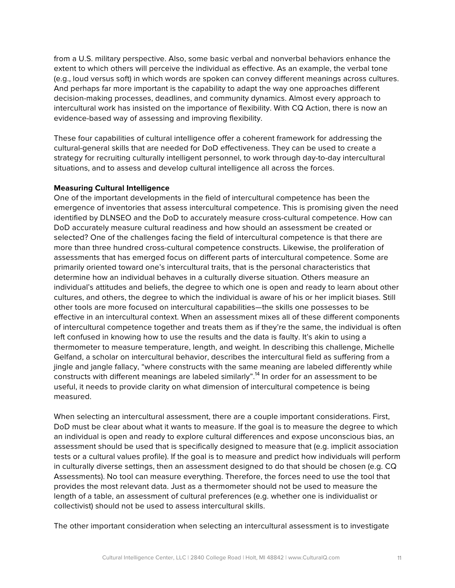from a U.S. military perspective. Also, some basic verbal and nonverbal behaviors enhance the extent to which others will perceive the individual as effective. As an example, the verbal tone (e.g., loud versus soft) in which words are spoken can convey different meanings across cultures. And perhaps far more important is the capability to adapt the way one approaches different decision-making processes, deadlines, and community dynamics. Almost every approach to intercultural work has insisted on the importance of flexibility. With CQ Action, there is now an evidence-based way of assessing and improving flexibility.

These four capabilities of cultural intelligence offer a coherent framework for addressing the cultural-general skills that are needed for DoD effectiveness. They can be used to create a strategy for recruiting culturally intelligent personnel, to work through day-to-day intercultural situations, and to assess and develop cultural intelligence all across the forces.

#### **Measuring Cultural Intelligence**

One of the important developments in the field of intercultural competence has been the emergence of inventories that assess intercultural competence. This is promising given the need identified by DLNSEO and the DoD to accurately measure cross-cultural competence. How can DoD accurately measure cultural readiness and how should an assessment be created or selected? One of the challenges facing the field of intercultural competence is that there are more than three hundred cross-cultural competence constructs. Likewise, the proliferation of assessments that has emerged focus on different parts of intercultural competence. Some are primarily oriented toward one's intercultural traits, that is the personal characteristics that determine how an individual behaves in a culturally diverse situation. Others measure an individual's attitudes and beliefs, the degree to which one is open and ready to learn about other cultures, and others, the degree to which the individual is aware of his or her implicit biases. Still other tools are more focused on intercultural capabilities—the skills one possesses to be effective in an intercultural context. When an assessment mixes all of these different components of intercultural competence together and treats them as if they're the same, the individual is often left confused in knowing how to use the results and the data is faulty. It's akin to using a thermometer to measure temperature, length, and weight. In describing this challenge, Michelle Gelfand, a scholar on intercultural behavior, describes the intercultural field as suffering from a jingle and jangle fallacy, "where constructs with the same meaning are labeled differently while constructs with different meanings are labeled similarly".<sup>14</sup> In order for an assessment to be useful, it needs to provide clarity on what dimension of intercultural competence is being measured.

When selecting an intercultural assessment, there are a couple important considerations. First, DoD must be clear about what it wants to measure. If the goal is to measure the degree to which an individual is open and ready to explore cultural differences and expose unconscious bias, an assessment should be used that is specifically designed to measure that (e.g. implicit association tests or a cultural values profile). If the goal is to measure and predict how individuals will perform in culturally diverse settings, then an assessment designed to do that should be chosen (e.g. CQ Assessments). No tool can measure everything. Therefore, the forces need to use the tool that provides the most relevant data. Just as a thermometer should not be used to measure the length of a table, an assessment of cultural preferences (e.g. whether one is individualist or collectivist) should not be used to assess intercultural skills.

The other important consideration when selecting an intercultural assessment is to investigate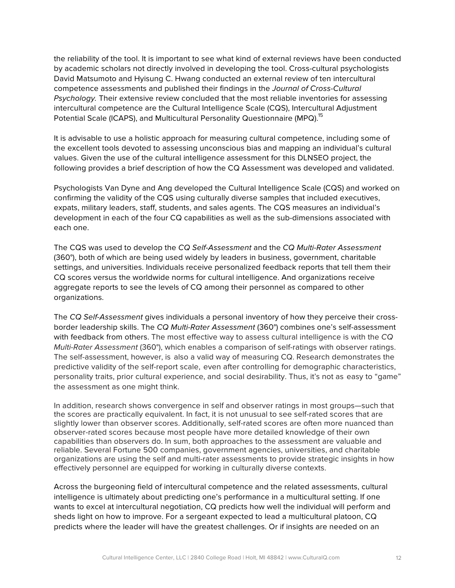the reliability of the tool. It is important to see what kind of external reviews have been conducted by academic scholars not directly involved in developing the tool. Cross-cultural psychologists David Matsumoto and Hyisung C. Hwang conducted an external review of ten intercultural competence assessments and published their findings in the *Journal of Cross-Cultural Psychology.* Their extensive review concluded that the most reliable inventories for assessing intercultural competence are the Cultural Intelligence Scale (CQS), Intercultural Adjustment Potential Scale (ICAPS), and Multicultural Personality Questionnaire (MPQ).<sup>15</sup>

It is advisable to use a holistic approach for measuring cultural competence, including some of the excellent tools devoted to assessing unconscious bias and mapping an individual's cultural values. Given the use of the cultural intelligence assessment for this DLNSEO project, the following provides a brief description of how the CQ Assessment was developed and validated.

Psychologists Van Dyne and Ang developed the Cultural Intelligence Scale (CQS) and worked on confirming the validity of the CQS using culturally diverse samples that included executives, expats, military leaders, staff, students, and sales agents. The CQS measures an individual's development in each of the four CQ capabilities as well as the sub-dimensions associated with each one.

The CQS was used to develop the *CQ Self-Assessment* and the *CQ Multi-Rater Assessment* (360°), both of which are being used widely by leaders in business, government, charitable settings, and universities. Individuals receive personalized feedback reports that tell them their CQ scores versus the worldwide norms for cultural intelligence. And organizations receive aggregate reports to see the levels of CQ among their personnel as compared to other organizations.

The *CQ Self-Assessment* gives individuals a personal inventory of how they perceive their crossborder leadership skills. The *CQ Multi-Rater Assessment* (360°) combines one's self-assessment with feedback from others. The most effective way to assess cultural intelligence is with the *CQ Multi-Rater Assessment* (360°), which enables a comparison of self-ratings with observer ratings. The self-assessment, however, is also a valid way of measuring CQ. Research demonstrates the predictive validity of the self-report scale, even after controlling for demographic characteristics, personality traits, prior cultural experience, and social desirability. Thus, it's not as easy to "game" the assessment as one might think.

In addition, research shows convergence in self and observer ratings in most groups—such that the scores are practically equivalent. In fact, it is not unusual to see self-rated scores that are slightly lower than observer scores. Additionally, self-rated scores are often more nuanced than observer-rated scores because most people have more detailed knowledge of their own capabilities than observers do. In sum, both approaches to the assessment are valuable and reliable. Several Fortune 500 companies, government agencies, universities, and charitable organizations are using the self and multi-rater assessments to provide strategic insights in how effectively personnel are equipped for working in culturally diverse contexts.

Across the burgeoning field of intercultural competence and the related assessments, cultural intelligence is ultimately about predicting one's performance in a multicultural setting. If one wants to excel at intercultural negotiation, CQ predicts how well the individual will perform and sheds light on how to improve. For a sergeant expected to lead a multicultural platoon, CQ predicts where the leader will have the greatest challenges. Or if insights are needed on an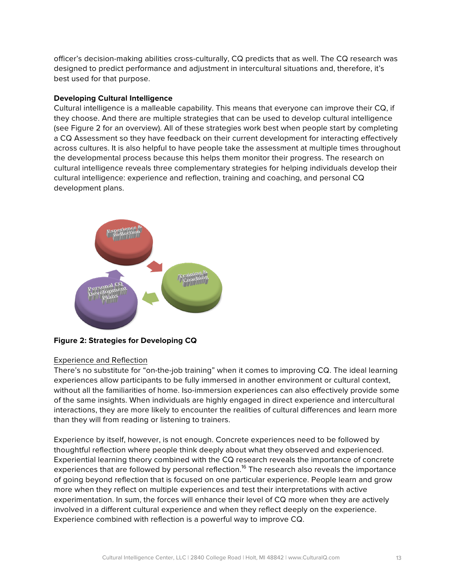officer's decision-making abilities cross-culturally, CQ predicts that as well. The CQ research was designed to predict performance and adjustment in intercultural situations and, therefore, it's best used for that purpose.

#### **Developing Cultural Intelligence**

Cultural intelligence is a malleable capability. This means that everyone can improve their CQ, if they choose. And there are multiple strategies that can be used to develop cultural intelligence (see Figure 2 for an overview). All of these strategies work best when people start by completing a CQ Assessment so they have feedback on their current development for interacting effectively across cultures. It is also helpful to have people take the assessment at multiple times throughout the developmental process because this helps them monitor their progress. The research on cultural intelligence reveals three complementary strategies for helping individuals develop their cultural intelligence: experience and reflection, training and coaching, and personal CQ development plans.



**Figure 2: Strategies for Developing CQ**

#### Experience and Reflection

There's no substitute for "on-the-job training" when it comes to improving CQ. The ideal learning experiences allow participants to be fully immersed in another environment or cultural context, without all the familiarities of home. Iso-immersion experiences can also effectively provide some of the same insights. When individuals are highly engaged in direct experience and intercultural interactions, they are more likely to encounter the realities of cultural differences and learn more than they will from reading or listening to trainers.

Experience by itself, however, is not enough. Concrete experiences need to be followed by thoughtful reflection where people think deeply about what they observed and experienced. Experiential learning theory combined with the CQ research reveals the importance of concrete experiences that are followed by personal reflection.<sup>16</sup> The research also reveals the importance of going beyond reflection that is focused on one particular experience. People learn and grow more when they reflect on multiple experiences and test their interpretations with active experimentation. In sum, the forces will enhance their level of CQ more when they are actively involved in a different cultural experience and when they reflect deeply on the experience. Experience combined with reflection is a powerful way to improve CQ.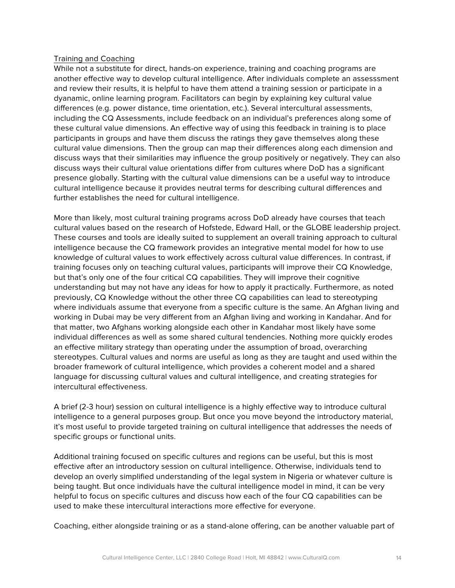#### Training and Coaching

While not a substitute for direct, hands-on experience, training and coaching programs are another effective way to develop cultural intelligence. After individuals complete an assesssment and review their results, it is helpful to have them attend a training session or participate in a dyanamic, online learning program. Facilitators can begin by explaining key cultural value differences (e.g. power distance, time orientation, etc.). Several intercultural assessments, including the CQ Assessments, include feedback on an individual's preferences along some of these cultural value dimensions. An effective way of using this feedback in training is to place participants in groups and have them discuss the ratings they gave themselves along these cultural value dimensions. Then the group can map their differences along each dimension and discuss ways that their similarities may influence the group positively or negatively. They can also discuss ways their cultural value orientations differ from cultures where DoD has a significant presence globally. Starting with the cultural value dimensions can be a useful way to introduce cultural intelligence because it provides neutral terms for describing cultural differences and further establishes the need for cultural intelligence.

More than likely, most cultural training programs across DoD already have courses that teach cultural values based on the research of Hofstede, Edward Hall, or the GLOBE leadership project. These courses and tools are ideally suited to supplement an overall training approach to cultural intelligence because the CQ framework provides an integrative mental model for how to use knowledge of cultural values to work effectively across cultural value differences. In contrast, if training focuses only on teaching cultural values, participants will improve their CQ Knowledge, but that's only one of the four critical CQ capabilities. They will improve their cognitive understanding but may not have any ideas for how to apply it practically. Furthermore, as noted previously, CQ Knowledge without the other three CQ capabilities can lead to stereotyping where individuals assume that everyone from a specific culture is the same. An Afghan living and working in Dubai may be very different from an Afghan living and working in Kandahar. And for that matter, two Afghans working alongside each other in Kandahar most likely have some individual differences as well as some shared cultural tendencies. Nothing more quickly erodes an effective military strategy than operating under the assumption of broad, overarching stereotypes. Cultural values and norms are useful as long as they are taught and used within the broader framework of cultural intelligence, which provides a coherent model and a shared language for discussing cultural values and cultural intelligence, and creating strategies for intercultural effectiveness.

A brief (2-3 hour) session on cultural intelligence is a highly effective way to introduce cultural intelligence to a general purposes group. But once you move beyond the introductory material, it's most useful to provide targeted training on cultural intelligence that addresses the needs of specific groups or functional units.

Additional training focused on specific cultures and regions can be useful, but this is most effective after an introductory session on cultural intelligence. Otherwise, individuals tend to develop an overly simplified understanding of the legal system in Nigeria or whatever culture is being taught. But once individuals have the cultural intelligence model in mind, it can be very helpful to focus on specific cultures and discuss how each of the four CQ capabilities can be used to make these intercultural interactions more effective for everyone.

Coaching, either alongside training or as a stand-alone offering, can be another valuable part of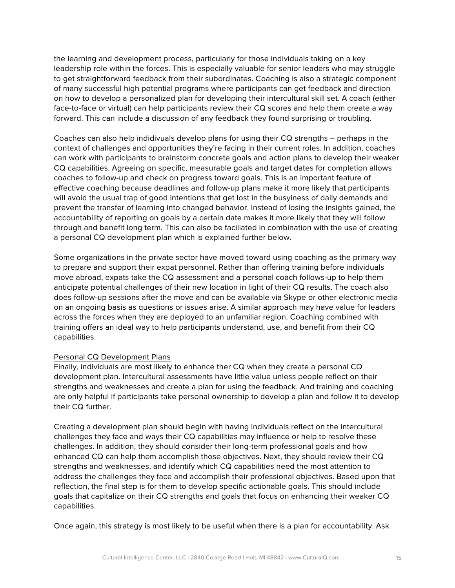the learning and development process, particularly for those individuals taking on a key leadership role within the forces. This is especially valuable for senior leaders who may struggle to get straightforward feedback from their subordinates. Coaching is also a strategic component of many successful high potential programs where participants can get feedback and direction on how to develop a personalized plan for developing their intercultural skill set. A coach (either face-to-face or virtual) can help participants review their CQ scores and help them create a way forward. This can include a discussion of any feedback they found surprising or troubling.

Coaches can also help indidivuals develop plans for using their CQ strengths – perhaps in the context of challenges and opportunities they're facing in their current roles. In addition, coaches can work with participants to brainstorm concrete goals and action plans to develop their weaker CQ capabilities. Agreeing on specific, measurable goals and target dates for completion allows coaches to follow-up and check on progress toward goals. This is an important feature of effective coaching because deadlines and follow-up plans make it more likely that participants will avoid the usual trap of good intentions that get lost in the busyiness of daily demands and prevent the transfer of learning into changed behavior. Instead of losing the insights gained, the accountability of reporting on goals by a certain date makes it more likely that they will follow through and benefit long term. This can also be faciliated in combination with the use of creating a personal CQ development plan which is explained further below.

Some organizations in the private sector have moved toward using coaching as the primary way to prepare and support their expat personnel. Rather than offering training before individuals move abroad, expats take the CQ assessment and a personal coach follows-up to help them anticipate potential challenges of their new location in light of their CQ results. The coach also does follow-up sessions after the move and can be available via Skype or other electronic media on an ongoing basis as questions or issues arise. A similar approach may have value for leaders across the forces when they are deployed to an unfamiliar region. Coaching combined with training offers an ideal way to help participants understand, use, and benefit from their CQ capabilities.

#### Personal CQ Development Plans

Finally, individuals are most likely to enhance ther CQ when they create a personal CQ development plan. Intercultural assessments have little value unless people reflect on their strengths and weaknesses and create a plan for using the feedback. And training and coaching are only helpful if participants take personal ownership to develop a plan and follow it to develop their CQ further.

Creating a development plan should begin with having individuals reflect on the intercultural challenges they face and ways their CQ capabilities may influence or help to resolve these challenges. In addition, they should consider their long-term professional goals and how enhanced CQ can help them accomplish those objectives. Next, they should review their CQ strengths and weaknesses, and identify which CQ capabilities need the most attention to address the challenges they face and accomplish their professional objectives. Based upon that reflection, the final step is for them to develop specific actionable goals. This should include goals that capitalize on their CQ strengths and goals that focus on enhancing their weaker CQ capabilities.

Once again, this strategy is most likely to be useful when there is a plan for accountability. Ask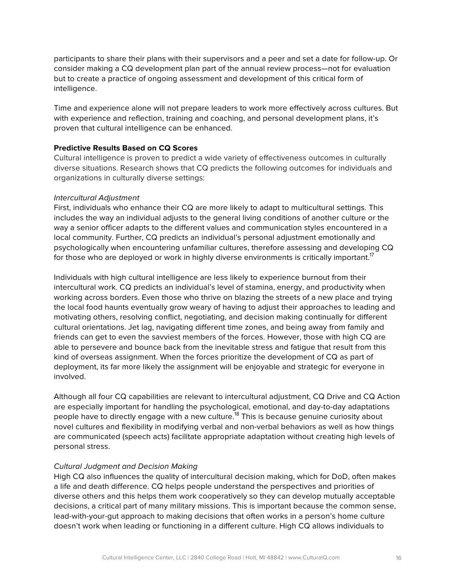participants to share their plans with their supervisors and a peer and set a date for follow-up. Or consider making a CQ development plan part of the annual review process—not for evaluation but to create a practice of ongoing assessment and development of this critical form of intelligence.

Time and experience alone will not prepare leaders to work more effectively across cultures. But with experience and reflection, training and coaching, and personal development plans, it's proven that cultural intelligence can be enhanced.

#### **Predictive Results Based on CQ Scores**

Cultural intelligence is proven to predict a wide variety of effectiveness outcomes in culturally diverse situations. Research shows that CQ predicts the following outcomes for individuals and organizations in culturally diverse settings:

#### *Intercultural Adjustment*

First, individuals who enhance their CQ are more likely to adapt to multicultural settings. This includes the way an individual adjusts to the general living conditions of another culture or the way a senior officer adapts to the different values and communication styles encountered in a local community. Further, CQ predicts an individual's personal adjustment emotionally and psychologically when encountering unfamiliar cultures, therefore assessing and developing CQ for those who are deployed or work in highly diverse environments is critically important.<sup>17</sup>

Individuals with high cultural intelligence are less likely to experience burnout from their intercultural work. CQ predicts an individual's level of stamina, energy, and productivity when working across borders. Even those who thrive on blazing the streets of a new place and trying the local food haunts eventually grow weary of having to adjust their approaches to leading and motivating others, resolving conflict, negotiating, and decision making continually for different cultural orientations. Jet lag, navigating different time zones, and being away from family and friends can get to even the savviest members of the forces. However, those with high CQ are able to persevere and bounce back from the inevitable stress and fatigue that result from this kind of overseas assignment. When the forces prioritize the development of CQ as part of deployment, its far more likely the assignment will be enjoyable and strategic for everyone in involved.

Although all four CQ capabilities are relevant to intercultural adjustment, CQ Drive and CQ Action are especially important for handling the psychological, emotional, and day-to-day adaptations people have to directly engage with a new culture.<sup>18</sup> This is because genuine curiosity about novel cultures and flexibility in modifying verbal and non-verbal behaviors as well as how things are communicated (speech acts) facilitate appropriate adaptation without creating high levels of personal stress.

#### *Cultural Judgment and Decision Making*

High CQ also influences the quality of intercultural decision making, which for DoD, often makes a life and death difference. CQ helps people understand the perspectives and priorities of diverse others and this helps them work cooperatively so they can develop mutually acceptable decisions, a critical part of many military missions. This is important because the common sense, lead-with-your-gut approach to making decisions that often works in a person's home culture doesn't work when leading or functioning in a different culture. High CQ allows individuals to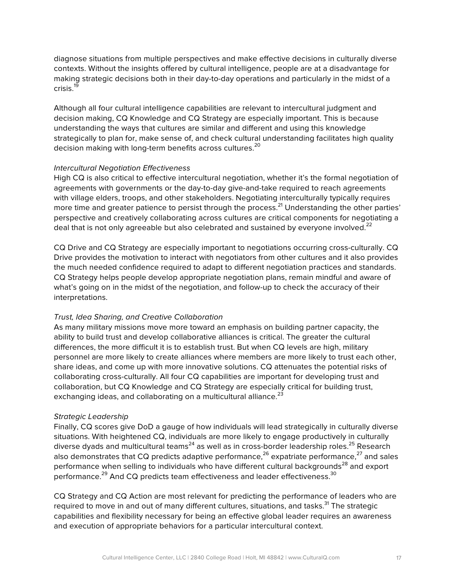diagnose situations from multiple perspectives and make effective decisions in culturally diverse contexts. Without the insights offered by cultural intelligence, people are at a disadvantage for making strategic decisions both in their day-to-day operations and particularly in the midst of a crisis.<sup>19</sup>

Although all four cultural intelligence capabilities are relevant to intercultural judgment and decision making, CQ Knowledge and CQ Strategy are especially important. This is because understanding the ways that cultures are similar and different and using this knowledge strategically to plan for, make sense of, and check cultural understanding facilitates high quality decision making with long-term benefits across cultures.<sup>20</sup>

#### *Intercultural Negotiation Effectiveness*

High CQ is also critical to effective intercultural negotiation, whether it's the formal negotiation of agreements with governments or the day-to-day give-and-take required to reach agreements with village elders, troops, and other stakeholders. Negotiating interculturally typically requires more time and greater patience to persist through the process.<sup>21</sup> Understanding the other parties' perspective and creatively collaborating across cultures are critical components for negotiating a deal that is not only agreeable but also celebrated and sustained by everyone involved. $^{22}$ 

CQ Drive and CQ Strategy are especially important to negotiations occurring cross-culturally. CQ Drive provides the motivation to interact with negotiators from other cultures and it also provides the much needed confidence required to adapt to different negotiation practices and standards. CQ Strategy helps people develop appropriate negotiation plans, remain mindful and aware of what's going on in the midst of the negotiation, and follow-up to check the accuracy of their interpretations.

#### *Trust, Idea Sharing, and Creative Collaboration*

As many military missions move more toward an emphasis on building partner capacity, the ability to build trust and develop collaborative alliances is critical. The greater the cultural differences, the more difficult it is to establish trust. But when CQ levels are high, military personnel are more likely to create alliances where members are more likely to trust each other, share ideas, and come up with more innovative solutions. CQ attenuates the potential risks of collaborating cross-culturally. All four CQ capabilities are important for developing trust and collaboration, but CQ Knowledge and CQ Strategy are especially critical for building trust, exchanging ideas, and collaborating on a multicultural alliance.<sup>23</sup>

#### *Strategic Leadership*

Finally, CQ scores give DoD a gauge of how individuals will lead strategically in culturally diverse situations. With heightened CQ, individuals are more likely to engage productively in culturally diverse dyads and multicultural teams<sup>24</sup> as well as in cross-border leadership roles.<sup>25</sup> Research also demonstrates that CQ predicts adaptive performance,  $26$  expatriate performance,  $27$  and sales performance when selling to individuals who have different cultural backgrounds<sup>28</sup> and export performance.<sup>29</sup> And CQ predicts team effectiveness and leader effectiveness.<sup>30</sup>

CQ Strategy and CQ Action are most relevant for predicting the performance of leaders who are required to move in and out of many different cultures, situations, and tasks.<sup>31</sup> The strategic capabilities and flexibility necessary for being an effective global leader requires an awareness and execution of appropriate behaviors for a particular intercultural context.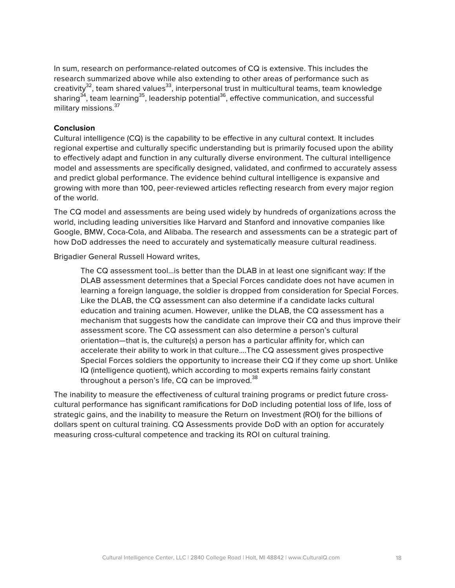In sum, research on performance-related outcomes of CQ is extensive. This includes the research summarized above while also extending to other areas of performance such as creativity<sup>32</sup>, team shared values<sup>33</sup>, interpersonal trust in multicultural teams, team knowledge sharing<sup>34</sup>, team learning<sup>35</sup>, leadership potential<sup>36</sup>, effective communication, and successful military missions. 37

#### **Conclusion**

Cultural intelligence (CQ) is the capability to be effective in any cultural context. It includes regional expertise and culturally specific understanding but is primarily focused upon the ability to effectively adapt and function in any culturally diverse environment. The cultural intelligence model and assessments are specifically designed, validated, and confirmed to accurately assess and predict global performance. The evidence behind cultural intelligence is expansive and growing with more than 100, peer-reviewed articles reflecting research from every major region of the world.

The CQ model and assessments are being used widely by hundreds of organizations across the world, including leading universities like Harvard and Stanford and innovative companies like Google, BMW, Coca-Cola, and Alibaba. The research and assessments can be a strategic part of how DoD addresses the need to accurately and systematically measure cultural readiness.

Brigadier General Russell Howard writes,

The CQ assessment tool…is better than the DLAB in at least one significant way: If the DLAB assessment determines that a Special Forces candidate does not have acumen in learning a foreign language, the soldier is dropped from consideration for Special Forces. Like the DLAB, the CQ assessment can also determine if a candidate lacks cultural education and training acumen. However, unlike the DLAB, the CQ assessment has a mechanism that suggests how the candidate can improve their CQ and thus improve their assessment score. The CQ assessment can also determine a person's cultural orientation—that is, the culture(s) a person has a particular affinity for, which can accelerate their ability to work in that culture….The CQ assessment gives prospective Special Forces soldiers the opportunity to increase their CQ if they come up short. Unlike IQ (intelligence quotient), which according to most experts remains fairly constant throughout a person's life,  $CQ$  can be improved.<sup>38</sup>

The inability to measure the effectiveness of cultural training programs or predict future crosscultural performance has significant ramifications for DoD including potential loss of life, loss of strategic gains, and the inability to measure the Return on Investment (ROI) for the billions of dollars spent on cultural training. CQ Assessments provide DoD with an option for accurately measuring cross-cultural competence and tracking its ROI on cultural training.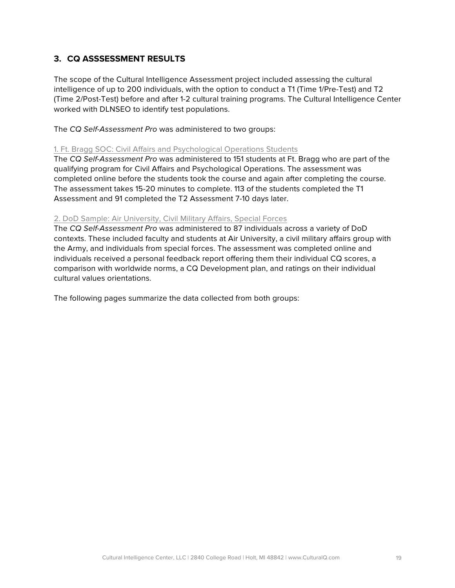### **3. CQ ASSSESSMENT RESULTS**

The scope of the Cultural Intelligence Assessment project included assessing the cultural intelligence of up to 200 individuals, with the option to conduct a T1 (Time 1/Pre-Test) and T2 (Time 2/Post-Test) before and after 1-2 cultural training programs. The Cultural Intelligence Center worked with DLNSEO to identify test populations.

The *CQ Self-Assessment Pro* was administered to two groups:

#### 1. Ft. Bragg SOC: Civil Affairs and Psychological Operations Students

The *CQ Self-Assessment Pro* was administered to 151 students at Ft. Bragg who are part of the qualifying program for Civil Affairs and Psychological Operations. The assessment was completed online before the students took the course and again after completing the course. The assessment takes 15-20 minutes to complete. 113 of the students completed the T1 Assessment and 91 completed the T2 Assessment 7-10 days later.

#### 2. DoD Sample: Air University, Civil Military Affairs, Special Forces

The *CQ Self-Assessment Pro* was administered to 87 individuals across a variety of DoD contexts. These included faculty and students at Air University, a civil military affairs group with the Army, and individuals from special forces. The assessment was completed online and individuals received a personal feedback report offering them their individual CQ scores, a comparison with worldwide norms, a CQ Development plan, and ratings on their individual cultural values orientations.

The following pages summarize the data collected from both groups: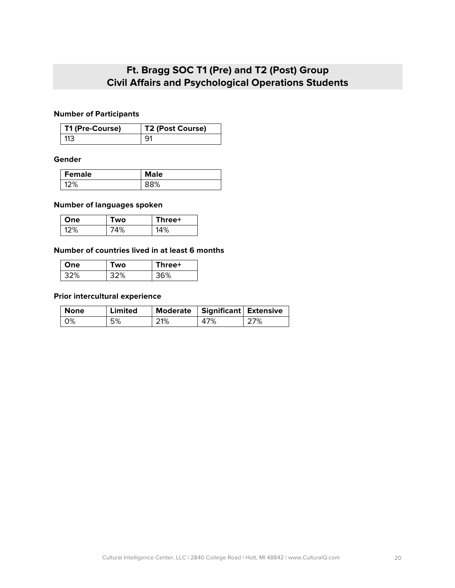## **Ft. Bragg SOC T1 (Pre) and T2 (Post) Group Civil Affairs and Psychological Operations Students**

#### **Number of Participants**

| T1 (Pre-Course) | T2 (Post Course) |
|-----------------|------------------|
| 113             |                  |

#### **Gender**

| Female | <b>Male</b> |
|--------|-------------|
| 7%     | 3%          |

#### **Number of languages spoken**

| One | Two | Three+ |
|-----|-----|--------|
| 12% | 74% | 14%    |

#### **Number of countries lived in at least 6 months**

| One | <b>WO</b> | Three+ |
|-----|-----------|--------|
| 32% | 32%       | 36%    |

#### **Prior intercultural experience**

| None             | Limited |     | Moderate   Significant   Extensive |     |
|------------------|---------|-----|------------------------------------|-----|
| $\overline{0\%}$ | 5%      | 21% | 47%                                | 27% |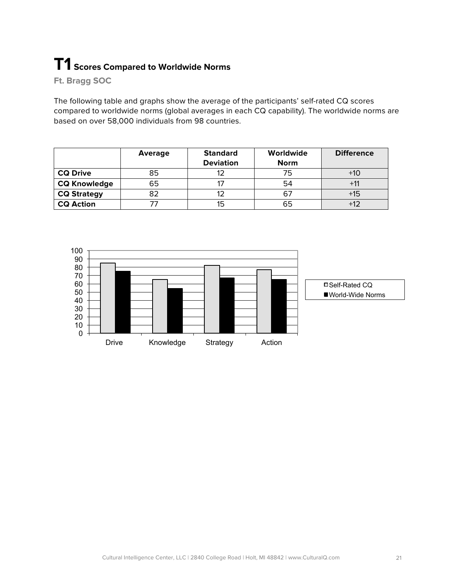## **T1 Scores Compared to Worldwide Norms**

**Ft. Bragg SOC**

The following table and graphs show the average of the participants' self-rated CQ scores compared to worldwide norms (global averages in each CQ capability). The worldwide norms are based on over 58,000 individuals from 98 countries.

|                     | <b>Average</b> | <b>Standard</b>  | Worldwide   | <b>Difference</b> |
|---------------------|----------------|------------------|-------------|-------------------|
|                     |                | <b>Deviation</b> | <b>Norm</b> |                   |
| <b>CQ Drive</b>     | 85             |                  | 75          | $+10$             |
| <b>CQ Knowledge</b> | 65             |                  | 54          |                   |
| <b>CQ Strategy</b>  | 82             |                  | 67          | $+15$             |
| <b>CQ Action</b>    |                | 15               | 65          |                   |

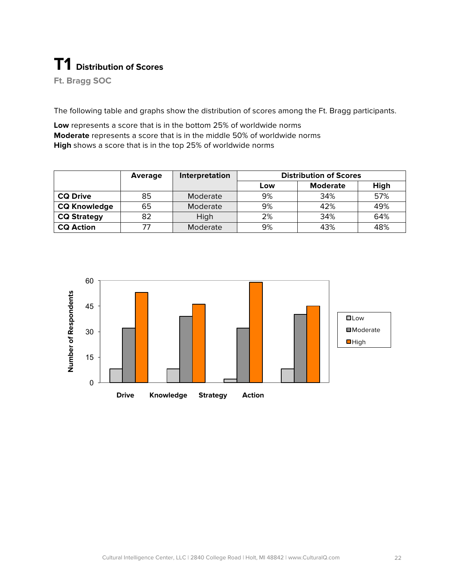## **T1 Distribution of Scores**

**Ft. Bragg SOC**

The following table and graphs show the distribution of scores among the Ft. Bragg participants.

**Low** represents a score that is in the bottom 25% of worldwide norms **Moderate** represents a score that is in the middle 50% of worldwide norms **High** shows a score that is in the top 25% of worldwide norms

|                     | Average | Interpretation | <b>Distribution of Scores</b> |                 |      |
|---------------------|---------|----------------|-------------------------------|-----------------|------|
|                     |         |                | Low                           | <b>Moderate</b> | High |
| <b>CQ Drive</b>     | 85      | Moderate       | 9%                            | 34%             | 57%  |
| <b>CQ Knowledge</b> | 65      | Moderate       | 9%                            | 42%             | 49%  |
| <b>CQ Strategy</b>  | 82      | High           | 2%                            | 34%             | 64%  |
| <b>CQ Action</b>    | 77      | Moderate       | 9%                            | 43%             | 48%  |

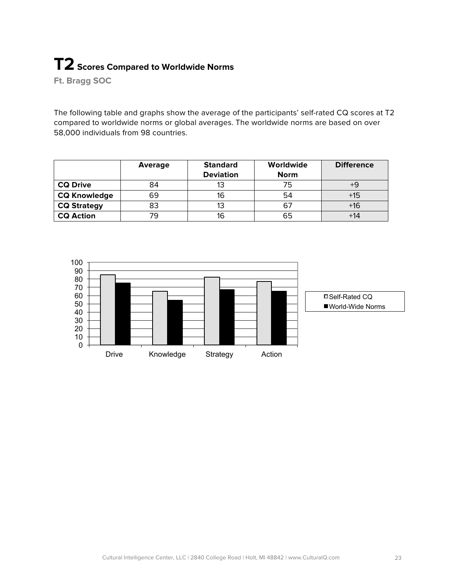## **T2** Scores Compared to Worldwide Norms

**Ft. Bragg SOC**

The following table and graphs show the average of the participants' self-rated CQ scores at T2 compared to worldwide norms or global averages. The worldwide norms are based on over 58,000 individuals from 98 countries.

|                     | <b>Average</b> | <b>Standard</b>  | Worldwide   | <b>Difference</b> |
|---------------------|----------------|------------------|-------------|-------------------|
|                     |                | <b>Deviation</b> | <b>Norm</b> |                   |
| <b>CQ Drive</b>     | 84             | 13               | 75          |                   |
| <b>CQ Knowledge</b> | 69             | 16               | 54          | $+15$             |
| <b>CQ Strategy</b>  | 83             |                  | 67          | +16               |
| <b>CQ Action</b>    | 79             | 16               | 65          |                   |

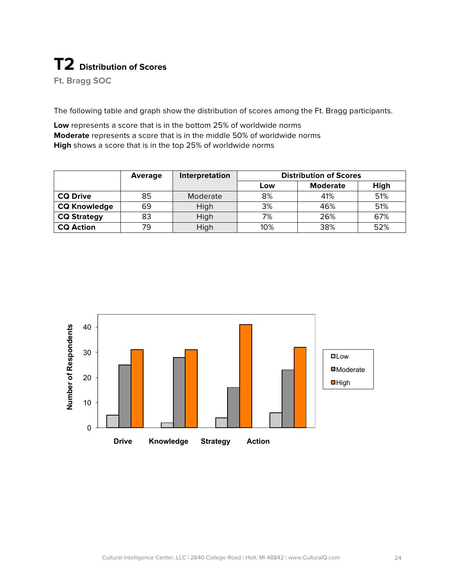# **T2 Distribution of Scores**

**Ft. Bragg SOC**

The following table and graph show the distribution of scores among the Ft. Bragg participants.

**Low** represents a score that is in the bottom 25% of worldwide norms **Moderate** represents a score that is in the middle 50% of worldwide norms **High** shows a score that is in the top 25% of worldwide norms

|                     | Average | Interpretation | <b>Distribution of Scores</b> |                 |      |
|---------------------|---------|----------------|-------------------------------|-----------------|------|
|                     |         |                | Low                           | <b>Moderate</b> | High |
| <b>CQ Drive</b>     | 85      | Moderate       | 8%                            | 41%             | 51%  |
| <b>CQ Knowledge</b> | 69      | High           | 3%                            | 46%             | 51%  |
| <b>CQ Strategy</b>  | 83      | High           | 7%                            | 26%             | 67%  |
| <b>CQ Action</b>    | 79      | High           | 10%                           | 38%             | 52%  |

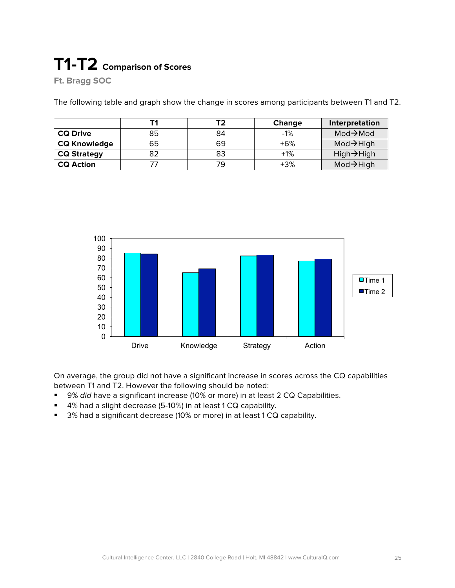# **T1-T2 Comparison of Scores**

**Ft. Bragg SOC**

The following table and graph show the change in scores among participants between T1 and T2.

|                     |    |    | <b>Change</b> | Interpretation         |
|---------------------|----|----|---------------|------------------------|
| <b>CQ Drive</b>     | 85 | 84 | $-1%$         | $Mod \rightarrow Mod$  |
| <b>CQ Knowledge</b> | 65 | 69 | $+6%$         | $Mod \rightarrow High$ |
| <b>CQ Strategy</b>  | 82 | 83 | $+1%$         | High→High              |
| <b>CQ Action</b>    |    |    | $+3%$         | $Mod \rightarrow High$ |



On average, the group did not have a significant increase in scores across the CQ capabilities between T1 and T2. However the following should be noted:

- 9% *did* have a significant increase (10% or more) in at least 2 CQ Capabilities.
- 4% had a slight decrease (5-10%) in at least 1 CQ capability.
- 3% had a significant decrease (10% or more) in at least 1 CQ capability.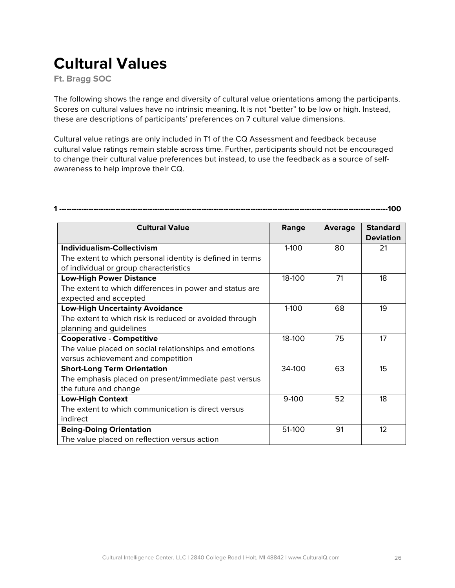## **Cultural Values**

**Ft. Bragg SOC**

The following shows the range and diversity of cultural value orientations among the participants. Scores on cultural values have no intrinsic meaning. It is not "better" to be low or high. Instead, these are descriptions of participants' preferences on 7 cultural value dimensions.

Cultural value ratings are only included in T1 of the CQ Assessment and feedback because cultural value ratings remain stable across time. Further, participants should not be encouraged to change their cultural value preferences but instead, to use the feedback as a source of selfawareness to help improve their CQ.

**1 --------------------------------------------------------------------------------------------------------------------------------------100**

| <b>Cultural Value</b>                                     | Range     | <b>Average</b> | <b>Standard</b><br><b>Deviation</b> |
|-----------------------------------------------------------|-----------|----------------|-------------------------------------|
| <b>Individualism-Collectivism</b>                         | $1 - 100$ | 80             | 21                                  |
| The extent to which personal identity is defined in terms |           |                |                                     |
| of individual or group characteristics                    |           |                |                                     |
| <b>Low-High Power Distance</b>                            | 18-100    | 71             | 18                                  |
| The extent to which differences in power and status are   |           |                |                                     |
| expected and accepted                                     |           |                |                                     |
| <b>Low-High Uncertainty Avoidance</b>                     | $1-100$   | 68             | 19                                  |
| The extent to which risk is reduced or avoided through    |           |                |                                     |
| planning and guidelines                                   |           |                |                                     |
| <b>Cooperative - Competitive</b>                          | 18-100    | 75             | 17                                  |
| The value placed on social relationships and emotions     |           |                |                                     |
| versus achievement and competition                        |           |                |                                     |
| <b>Short-Long Term Orientation</b>                        | 34-100    | 63             | 15                                  |
| The emphasis placed on present/immediate past versus      |           |                |                                     |
| the future and change                                     |           |                |                                     |
| <b>Low-High Context</b>                                   | $9-100$   | 52             | 18                                  |
| The extent to which communication is direct versus        |           |                |                                     |
| indirect                                                  |           |                |                                     |
| <b>Being-Doing Orientation</b>                            | 51-100    | 91             | 12                                  |
| The value placed on reflection versus action              |           |                |                                     |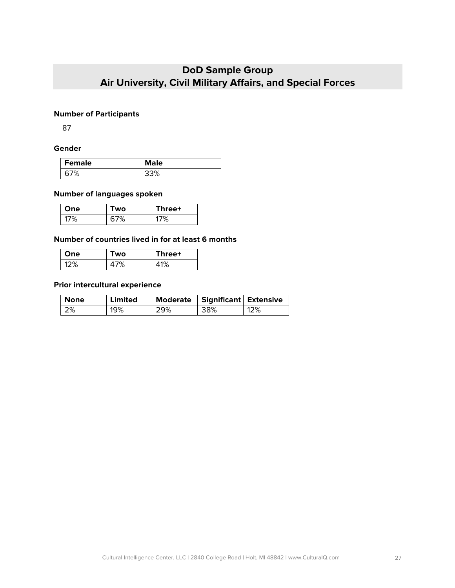## **DoD Sample Group Air University, Civil Military Affairs, and Special Forces**

#### **Number of Participants**

87

#### **Gender**

| <b>Female</b> | <b>Male</b> |
|---------------|-------------|
| 7%<br>h       | 3%          |

#### **Number of languages spoken**

| One | Two | Three+ |
|-----|-----|--------|
| 7%  | 7%  | 1U,    |

#### **Number of countries lived in for at least 6 months**

| One | Two | Three+ |
|-----|-----|--------|
| 12% | 7%  | 1%     |

#### **Prior intercultural experience**

| None | Limited |     | Moderate   Significant   Extensive |     |
|------|---------|-----|------------------------------------|-----|
| 12%  | 19%     | 29% | 38%                                | 12% |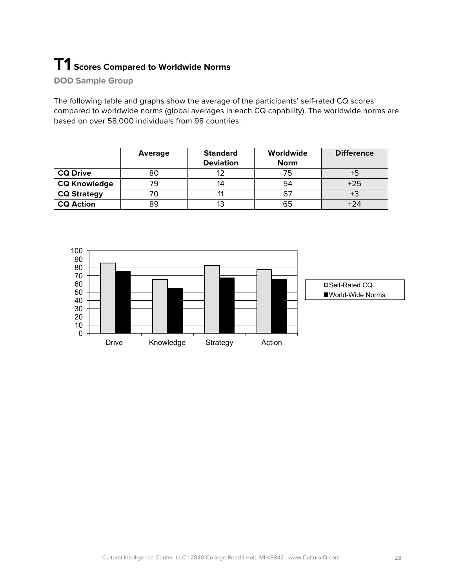## **T1 Scores Compared to Worldwide Norms**

**DOD Sample Group**

The following table and graphs show the average of the participants' self-rated CQ scores compared to worldwide norms (global averages in each CQ capability). The worldwide norms are based on over 58,000 individuals from 98 countries.

|                     | <b>Average</b> | <b>Standard</b>  | Worldwide   | <b>Difference</b> |
|---------------------|----------------|------------------|-------------|-------------------|
|                     |                | <b>Deviation</b> | <b>Norm</b> |                   |
| <b>CQ Drive</b>     | 80             |                  | 75          |                   |
| <b>CQ Knowledge</b> | 79             | 14               | 54          | $+25$             |
| <b>CQ Strategy</b>  |                |                  | 67          |                   |
| <b>CQ Action</b>    | 89             |                  | 65          | $+24$             |

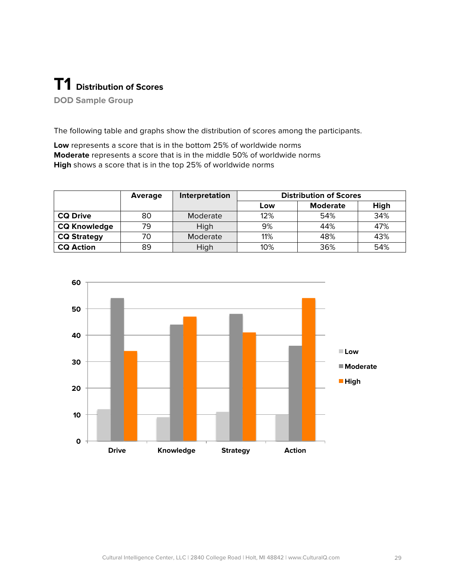# **T1 Distribution of Scores**

**DOD Sample Group**

The following table and graphs show the distribution of scores among the participants.

**Low** represents a score that is in the bottom 25% of worldwide norms **Moderate** represents a score that is in the middle 50% of worldwide norms **High** shows a score that is in the top 25% of worldwide norms

|                     | Average | Interpretation | <b>Distribution of Scores</b> |                 |      |  |
|---------------------|---------|----------------|-------------------------------|-----------------|------|--|
|                     |         |                | Low                           | <b>Moderate</b> | High |  |
| <b>CQ Drive</b>     | 80      | Moderate       | 12%                           | 54%             | 34%  |  |
| <b>CQ Knowledge</b> | 79      | High           | 9%                            | 44%             | 47%  |  |
| <b>CQ Strategy</b>  | 70      | Moderate       | 11%                           | 48%             | 43%  |  |
| <b>CQ Action</b>    | 89      | High           | 10%                           | 36%             | 54%  |  |

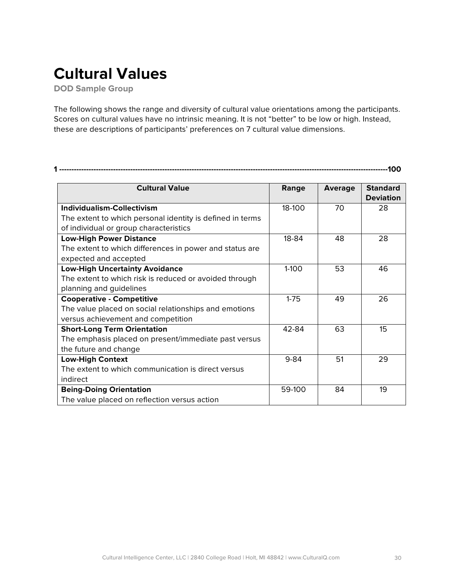## **Cultural Values**

**DOD Sample Group**

The following shows the range and diversity of cultural value orientations among the participants. Scores on cultural values have no intrinsic meaning. It is not "better" to be low or high. Instead, these are descriptions of participants' preferences on 7 cultural value dimensions.

**1 --------------------------------------------------------------------------------------------------------------------------------------100**

| <b>Cultural Value</b>                                     | Range     | <b>Average</b> | <b>Standard</b>  |
|-----------------------------------------------------------|-----------|----------------|------------------|
|                                                           |           |                | <b>Deviation</b> |
| Individualism-Collectivism                                | 18-100    | 70             | 28               |
| The extent to which personal identity is defined in terms |           |                |                  |
| of individual or group characteristics                    |           |                |                  |
| <b>Low-High Power Distance</b>                            | 18-84     | 48             | 28               |
| The extent to which differences in power and status are   |           |                |                  |
| expected and accepted                                     |           |                |                  |
| <b>Low-High Uncertainty Avoidance</b>                     | $1 - 100$ | 53             | 46               |
| The extent to which risk is reduced or avoided through    |           |                |                  |
| planning and guidelines                                   |           |                |                  |
| <b>Cooperative - Competitive</b>                          | $1 - 75$  | 49             | 26               |
| The value placed on social relationships and emotions     |           |                |                  |
| versus achievement and competition                        |           |                |                  |
| <b>Short-Long Term Orientation</b>                        | 42-84     | 63             | 15               |
| The emphasis placed on present/immediate past versus      |           |                |                  |
| the future and change                                     |           |                |                  |
| <b>Low-High Context</b>                                   | $9 - 84$  | 51             | 29               |
| The extent to which communication is direct versus        |           |                |                  |
| indirect                                                  |           |                |                  |
| <b>Being-Doing Orientation</b>                            | 59-100    | 84             | 19               |
| The value placed on reflection versus action              |           |                |                  |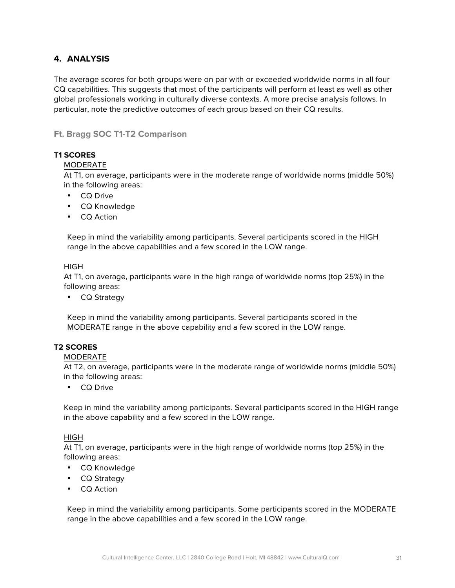### **4. ANALYSIS**

The average scores for both groups were on par with or exceeded worldwide norms in all four CQ capabilities. This suggests that most of the participants will perform at least as well as other global professionals working in culturally diverse contexts. A more precise analysis follows. In particular, note the predictive outcomes of each group based on their CQ results.

#### **Ft. Bragg SOC T1-T2 Comparison**

#### **T1 SCORES**

#### MODERATE

At T1, on average, participants were in the moderate range of worldwide norms (middle 50%) in the following areas:

- CQ Drive
- CQ Knowledge
- CQ Action

Keep in mind the variability among participants. Several participants scored in the HIGH range in the above capabilities and a few scored in the LOW range.

#### HIGH

At T1, on average, participants were in the high range of worldwide norms (top 25%) in the following areas:

• CQ Strategy

Keep in mind the variability among participants. Several participants scored in the MODERATE range in the above capability and a few scored in the LOW range.

#### **T2 SCORES**

#### MODERATE

At T2, on average, participants were in the moderate range of worldwide norms (middle 50%) in the following areas:

• CQ Drive

Keep in mind the variability among participants. Several participants scored in the HIGH range in the above capability and a few scored in the LOW range.

#### HIGH

At T1, on average, participants were in the high range of worldwide norms (top 25%) in the following areas:

- CQ Knowledge
- CQ Strategy
- CQ Action

Keep in mind the variability among participants. Some participants scored in the MODERATE range in the above capabilities and a few scored in the LOW range.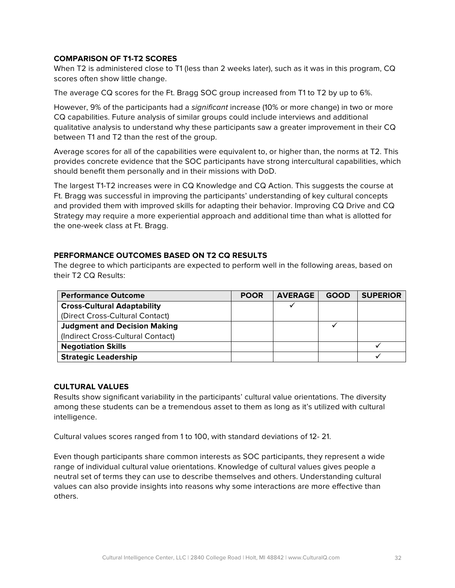#### **COMPARISON OF T1-T2 SCORES**

When T2 is administered close to T1 (less than 2 weeks later), such as it was in this program, CQ scores often show little change.

The average CQ scores for the Ft. Bragg SOC group increased from T1 to T2 by up to 6%.

However, 9% of the participants had a *significant* increase (10% or more change) in two or more CQ capabilities. Future analysis of similar groups could include interviews and additional qualitative analysis to understand why these participants saw a greater improvement in their CQ between T1 and T2 than the rest of the group.

Average scores for all of the capabilities were equivalent to, or higher than, the norms at T2. This provides concrete evidence that the SOC participants have strong intercultural capabilities, which should benefit them personally and in their missions with DoD.

The largest T1-T2 increases were in CQ Knowledge and CQ Action. This suggests the course at Ft. Bragg was successful in improving the participants' understanding of key cultural concepts and provided them with improved skills for adapting their behavior. Improving CQ Drive and CQ Strategy may require a more experiential approach and additional time than what is allotted for the one-week class at Ft. Bragg.

#### **PERFORMANCE OUTCOMES BASED ON T2 CQ RESULTS**

The degree to which participants are expected to perform well in the following areas, based on their T2 CQ Results:

| <b>Performance Outcome</b>          | <b>POOR</b> | <b>AVERAGE</b> | <b>GOOD</b> | <b>SUPERIOR</b> |
|-------------------------------------|-------------|----------------|-------------|-----------------|
| <b>Cross-Cultural Adaptability</b>  |             |                |             |                 |
| (Direct Cross-Cultural Contact)     |             |                |             |                 |
| <b>Judgment and Decision Making</b> |             |                |             |                 |
| (Indirect Cross-Cultural Contact)   |             |                |             |                 |
| <b>Negotiation Skills</b>           |             |                |             |                 |
| <b>Strategic Leadership</b>         |             |                |             |                 |

#### **CULTURAL VALUES**

Results show significant variability in the participants' cultural value orientations. The diversity among these students can be a tremendous asset to them as long as it's utilized with cultural intelligence.

Cultural values scores ranged from 1 to 100, with standard deviations of 12- 21.

Even though participants share common interests as SOC participants, they represent a wide range of individual cultural value orientations. Knowledge of cultural values gives people a neutral set of terms they can use to describe themselves and others. Understanding cultural values can also provide insights into reasons why some interactions are more effective than others.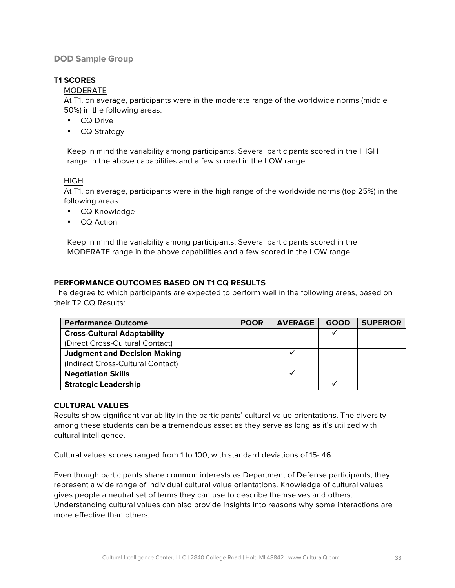#### **DOD Sample Group**

#### **T1 SCORES**

#### MODERATE

At T1, on average, participants were in the moderate range of the worldwide norms (middle 50%) in the following areas:

- CQ Drive
- CQ Strategy

Keep in mind the variability among participants. Several participants scored in the HIGH range in the above capabilities and a few scored in the LOW range.

#### **HIGH**

At T1, on average, participants were in the high range of the worldwide norms (top 25%) in the following areas:

- CQ Knowledge
- CQ Action

Keep in mind the variability among participants. Several participants scored in the MODERATE range in the above capabilities and a few scored in the LOW range.

#### **PERFORMANCE OUTCOMES BASED ON T1 CQ RESULTS**

The degree to which participants are expected to perform well in the following areas, based on their T2 CQ Results:

| <b>Performance Outcome</b>          | <b>POOR</b> | <b>AVERAGE</b> | <b>GOOD</b> | <b>SUPERIOR</b> |
|-------------------------------------|-------------|----------------|-------------|-----------------|
| <b>Cross-Cultural Adaptability</b>  |             |                |             |                 |
| (Direct Cross-Cultural Contact)     |             |                |             |                 |
| <b>Judgment and Decision Making</b> |             |                |             |                 |
| (Indirect Cross-Cultural Contact)   |             |                |             |                 |
| <b>Negotiation Skills</b>           |             |                |             |                 |
| <b>Strategic Leadership</b>         |             |                |             |                 |

#### **CULTURAL VALUES**

Results show significant variability in the participants' cultural value orientations. The diversity among these students can be a tremendous asset as they serve as long as it's utilized with cultural intelligence.

Cultural values scores ranged from 1 to 100, with standard deviations of 15- 46.

Even though participants share common interests as Department of Defense participants, they represent a wide range of individual cultural value orientations. Knowledge of cultural values gives people a neutral set of terms they can use to describe themselves and others. Understanding cultural values can also provide insights into reasons why some interactions are more effective than others.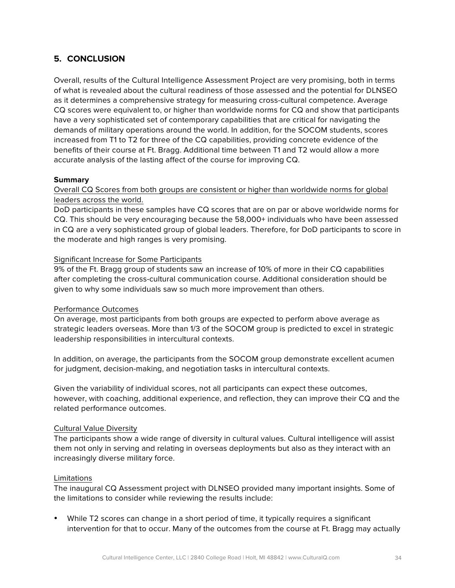### **5. CONCLUSION**

Overall, results of the Cultural Intelligence Assessment Project are very promising, both in terms of what is revealed about the cultural readiness of those assessed and the potential for DLNSEO as it determines a comprehensive strategy for measuring cross-cultural competence. Average CQ scores were equivalent to, or higher than worldwide norms for CQ and show that participants have a very sophisticated set of contemporary capabilities that are critical for navigating the demands of military operations around the world. In addition, for the SOCOM students, scores increased from T1 to T2 for three of the CQ capabilities, providing concrete evidence of the benefits of their course at Ft. Bragg. Additional time between T1 and T2 would allow a more accurate analysis of the lasting affect of the course for improving CQ.

#### **Summary**

Overall CQ Scores from both groups are consistent or higher than worldwide norms for global leaders across the world.

DoD participants in these samples have CQ scores that are on par or above worldwide norms for CQ. This should be very encouraging because the 58,000+ individuals who have been assessed in CQ are a very sophisticated group of global leaders. Therefore, for DoD participants to score in the moderate and high ranges is very promising.

#### Significant Increase for Some Participants

9% of the Ft. Bragg group of students saw an increase of 10% of more in their CQ capabilities after completing the cross-cultural communication course. Additional consideration should be given to why some individuals saw so much more improvement than others.

#### Performance Outcomes

On average, most participants from both groups are expected to perform above average as strategic leaders overseas. More than 1/3 of the SOCOM group is predicted to excel in strategic leadership responsibilities in intercultural contexts.

In addition, on average, the participants from the SOCOM group demonstrate excellent acumen for judgment, decision-making, and negotiation tasks in intercultural contexts.

Given the variability of individual scores, not all participants can expect these outcomes, however, with coaching, additional experience, and reflection, they can improve their CQ and the related performance outcomes.

#### Cultural Value Diversity

The participants show a wide range of diversity in cultural values. Cultural intelligence will assist them not only in serving and relating in overseas deployments but also as they interact with an increasingly diverse military force.

#### Limitations

The inaugural CQ Assessment project with DLNSEO provided many important insights. Some of the limitations to consider while reviewing the results include:

• While T2 scores can change in a short period of time, it typically requires a significant intervention for that to occur. Many of the outcomes from the course at Ft. Bragg may actually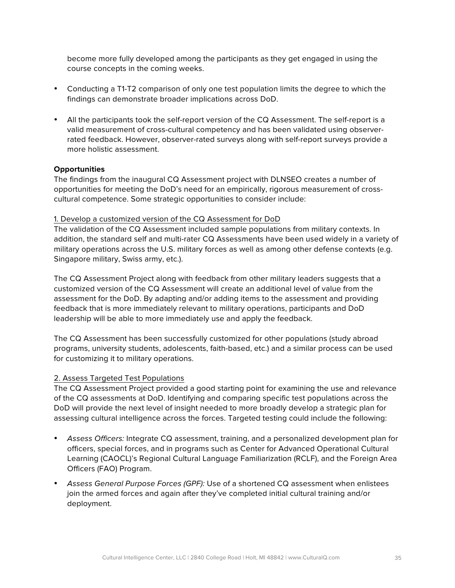become more fully developed among the participants as they get engaged in using the course concepts in the coming weeks.

- Conducting a T1-T2 comparison of only one test population limits the degree to which the findings can demonstrate broader implications across DoD.
- All the participants took the self-report version of the CQ Assessment. The self-report is a valid measurement of cross-cultural competency and has been validated using observerrated feedback. However, observer-rated surveys along with self-report surveys provide a more holistic assessment.

#### **Opportunities**

The findings from the inaugural CQ Assessment project with DLNSEO creates a number of opportunities for meeting the DoD's need for an empirically, rigorous measurement of crosscultural competence. Some strategic opportunities to consider include:

#### 1. Develop a customized version of the CQ Assessment for DoD

The validation of the CQ Assessment included sample populations from military contexts. In addition, the standard self and multi-rater CQ Assessments have been used widely in a variety of military operations across the U.S. military forces as well as among other defense contexts (e.g. Singapore military, Swiss army, etc.).

The CQ Assessment Project along with feedback from other military leaders suggests that a customized version of the CQ Assessment will create an additional level of value from the assessment for the DoD. By adapting and/or adding items to the assessment and providing feedback that is more immediately relevant to military operations, participants and DoD leadership will be able to more immediately use and apply the feedback.

The CQ Assessment has been successfully customized for other populations (study abroad programs, university students, adolescents, faith-based, etc.) and a similar process can be used for customizing it to military operations.

#### 2. Assess Targeted Test Populations

The CQ Assessment Project provided a good starting point for examining the use and relevance of the CQ assessments at DoD. Identifying and comparing specific test populations across the DoD will provide the next level of insight needed to more broadly develop a strategic plan for assessing cultural intelligence across the forces. Targeted testing could include the following:

- *Assess Officers:* Integrate CQ assessment, training, and a personalized development plan for officers, special forces, and in programs such as Center for Advanced Operational Cultural Learning (CAOCL)'s Regional Cultural Language Familiarization (RCLF), and the Foreign Area Officers (FAO) Program.
- *Assess General Purpose Forces (GPF):* Use of a shortened CQ assessment when enlistees join the armed forces and again after they've completed initial cultural training and/or deployment.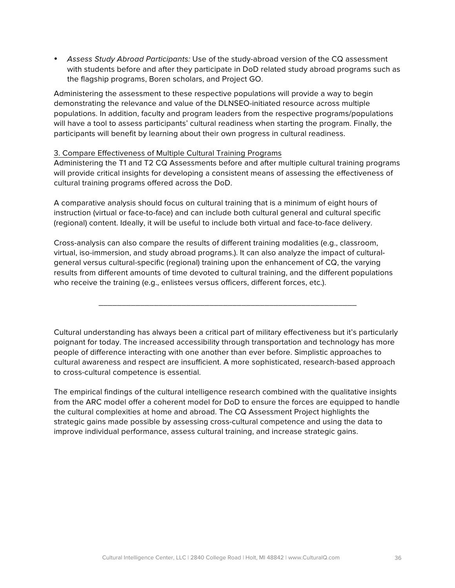• *Assess Study Abroad Participants:* Use of the study-abroad version of the CQ assessment with students before and after they participate in DoD related study abroad programs such as the flagship programs, Boren scholars, and Project GO.

Administering the assessment to these respective populations will provide a way to begin demonstrating the relevance and value of the DLNSEO-initiated resource across multiple populations. In addition, faculty and program leaders from the respective programs/populations will have a tool to assess participants' cultural readiness when starting the program. Finally, the participants will benefit by learning about their own progress in cultural readiness.

#### 3. Compare Effectiveness of Multiple Cultural Training Programs

Administering the T1 and T2 CQ Assessments before and after multiple cultural training programs will provide critical insights for developing a consistent means of assessing the effectiveness of cultural training programs offered across the DoD.

A comparative analysis should focus on cultural training that is a minimum of eight hours of instruction (virtual or face-to-face) and can include both cultural general and cultural specific (regional) content. Ideally, it will be useful to include both virtual and face-to-face delivery.

Cross-analysis can also compare the results of different training modalities (e.g., classroom, virtual, iso-immersion, and study abroad programs.). It can also analyze the impact of culturalgeneral versus cultural-specific (regional) training upon the enhancement of CQ, the varying results from different amounts of time devoted to cultural training, and the different populations who receive the training (e.g., enlistees versus officers, different forces, etc.).

Cultural understanding has always been a critical part of military effectiveness but it's particularly poignant for today. The increased accessibility through transportation and technology has more people of difference interacting with one another than ever before. Simplistic approaches to cultural awareness and respect are insufficient. A more sophisticated, research-based approach to cross-cultural competence is essential.

\_\_\_\_\_\_\_\_\_\_\_\_\_\_\_\_\_\_\_\_\_\_\_\_\_\_\_\_\_\_\_\_\_\_\_\_\_\_\_\_\_\_\_\_\_\_\_\_\_\_\_\_\_\_\_\_

The empirical findings of the cultural intelligence research combined with the qualitative insights from the ARC model offer a coherent model for DoD to ensure the forces are equipped to handle the cultural complexities at home and abroad. The CQ Assessment Project highlights the strategic gains made possible by assessing cross-cultural competence and using the data to improve individual performance, assess cultural training, and increase strategic gains.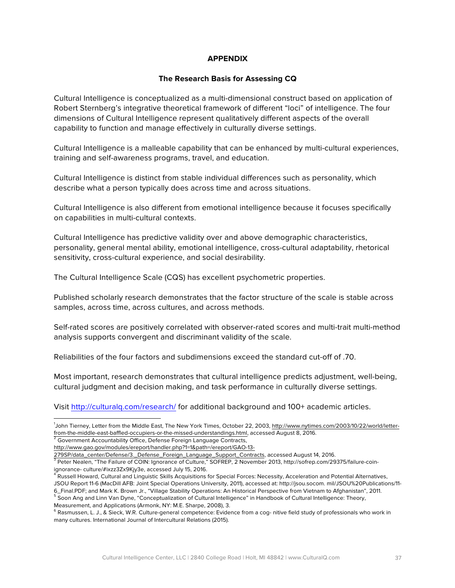#### **APPENDIX**

#### **The Research Basis for Assessing CQ**

Cultural Intelligence is conceptualized as a multi-dimensional construct based on application of Robert Sternberg's integrative theoretical framework of different "loci" of intelligence. The four dimensions of Cultural Intelligence represent qualitatively different aspects of the overall capability to function and manage effectively in culturally diverse settings.

Cultural Intelligence is a malleable capability that can be enhanced by multi-cultural experiences, training and self-awareness programs, travel, and education.

Cultural Intelligence is distinct from stable individual differences such as personality, which describe what a person typically does across time and across situations.

Cultural Intelligence is also different from emotional intelligence because it focuses specifically on capabilities in multi-cultural contexts.

Cultural Intelligence has predictive validity over and above demographic characteristics, personality, general mental ability, emotional intelligence, cross-cultural adaptability, rhetorical sensitivity, cross-cultural experience, and social desirability.

The Cultural Intelligence Scale (CQS) has excellent psychometric properties.

Published scholarly research demonstrates that the factor structure of the scale is stable across samples, across time, across cultures, and across methods.

Self-rated scores are positively correlated with observer-rated scores and multi-trait multi-method analysis supports convergent and discriminant validity of the scale.

Reliabilities of the four factors and subdimensions exceed the standard cut-off of .70.

Most important, research demonstrates that cultural intelligence predicts adjustment, well-being, cultural judgment and decision making, and task performance in culturally diverse settings.

Visit http://culturalq.com/research/ for additional background and 100+ academic articles.

 <sup>1</sup> John Tierney, Letter from the Middle East, The New York Times, October 22, 2003, http://www.nytimes.com/2003/10/22/world/letterfrom-the-middle-east-baffled-occupiers-or-the-missed-understandings.html, accessed August 8, 2016.

 $2\overline{2}$  Government Accountability Office, Defense Foreign Language Contracts,

http://www.gao.gov/modules/ereport/handler.php?1=1&path=/ereport/GAO-13-

<sup>279</sup>SP/data\_center/Defense/3.\_Defense\_Foreign\_Language\_Support\_Contracts, accessed August 14, 2016.<br><sup>3</sup> Peter Nealen, "The Failure of COIN: Ignorance of Culture," SOFREP, 2 November 2013, http://sofrep.com/29375/failure-coi

ignorance- culture/#ixzz3Zx9Kjy3e, accessed July 15, 2016.

<sup>&</sup>lt;sup>4</sup> Russell Howard, Cultural and Linguistic Skills Acquisitions for Special Forces: Necessity, Acceleration and Potential Alternatives, JSOU Report 11-6 (MacDill AFB: Joint Special Operations University, 2011), accessed at: http://jsou.socom. mil/JSOU%20Publications/11-<br>6\_Final.PDF; and Mark K. Brown Jr., "Village Stability Operations: An Historical Perspe

<sup>&</sup>lt;sup>5</sup> Soon Ang and Linn Van Dyne, "Conceptualization of Cultural Intelligence" in Handbook of Cultural Intelligence: Theory, Measurement, and Applications (Armonk, NY: M.E. Sharpe, 2008), 3.

<sup>&</sup>lt;sup>6</sup> Rasmussen, L. J., & Sieck, W.R. Culture-general competence: Evidence from a cog- nitive field study of professionals who work in many cultures. International Journal of Intercultural Relations (2015).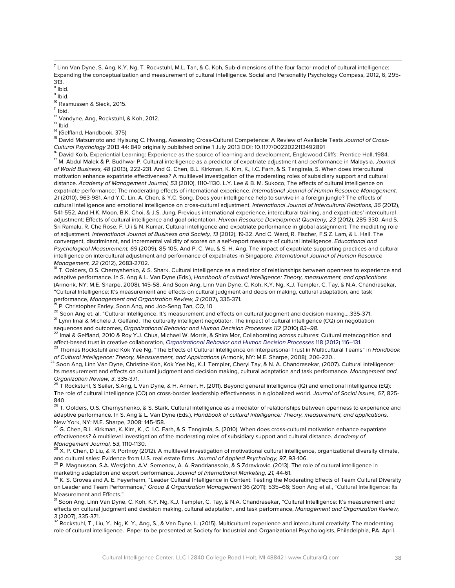<u> 1989 - Andrea Santa Andrea Santa Andrea Santa Andrea Santa Andrea Santa Andrea Santa Andrea Santa Andrea San</u>

<sup>8</sup> Ibid.

<sup>9</sup> Ibid.

 $10^{\circ}$  Rasmussen & Sieck, 2015.<br> $11^{\circ}$  Ibid.

<sup>12</sup> Vandyne, Ang, Rockstuhl, & Koh, 2012.<br><sup>13</sup> Ibid.

<sup>14</sup> (Gelfland, Handbook, 375)

<sup>15</sup> David Matsumoto and Hyisung C. Hwang**,** Assessing Cross-Cultural Competence: A Review of Available Tests *Journal of Cross-*

Cultural Psychology 2013 44: 849 originally published online 1 July 2013 DOI: 10.1177/0022022113492891<br><sup>16</sup> David Kolb, Experiential Learning: Experience as the source of learning and development, Englewood Cliffs: Prentic *of World Business, 48* (2013), 222-231. And G. Chen, B.L. Kirkman, K. Kim, K., I.C. Farh, & S. Tangirala, S. When does intercultural motivation enhance expatriate effectiveness? A multilevel investigation of the moderating roles of subsidiary support and cultural distance. *Academy of Management Journal, 53* (2010), 1110-1130. L.Y. Lee & B. M. Sukoco, The effects of cultural intelligence on expatriate performance: The moderating effects of international experience. *International Journal of Human Resource Management, 21* (2010), 963-981. And Y.C. Lin, A. Chen, & Y.C. Song. Does your intelligence help to survive in a foreign jungle? The effects of cultural intelligence and emotional intelligence on cross-cultural adjustment. *International Journal of Intercultural Relations, 36* (2012), 541-552. And H.K. Moon, B.K. Choi, & J.S. Jung. Previous international experience, intercultural training, and expatriates' intercultural adjustment: Effects of cultural intelligence and goal orientation. *Human Resource Development Quarterly, 23* (2012), 285-330. And S. Sri Ramalu, R. Che Rose, F. Uli & N. Kumar, Cultural intelligence and expatriate performance in global assignment: The mediating role of adjustment. *International Journal of Business and Society, 13* (2012), 19-32. And C. Ward, R. Fischer, F.S.Z. Lam, & L. Hall. The convergent, discriminant, and incremental validity of scores on a self-report measure of cultural intelligence. *Educational and Psychological Measurement, 69* (2009), 85-105. And P. C. Wu, & S. H. Ang, The impact of expatriate supporting practices and cultural intelligence on intercultural adjustment and performance of expatriates in Singapore. *International Journal of Human Resource* 

*Management, 22 (*2012), 2683-2702.<br><sup>18</sup> T. Oolders, O.S. Chernyshenko, & S. Shark. Cultural intelligence as a mediator of relationships between openness to experience and adaptive performance. In S. Ang & L. Van Dyne (Eds.), *Handbook of cultural intelligence: Theory, measurement, and applications*  (Armonk, NY: M.E. Sharpe, 2008), 145-58. And Soon Ang, Linn Van Dyne, C. Koh, K.Y. Ng, K.J. Templer, C. Tay, & N.A. Chandrasekar, "Cultural Intelligence: It's measurement and effects on cultural judgment and decision making, cultural adaptation, and task performance, *Management and Organization Review, 3* (2007), 335-371.<br><sup>19</sup> P. Christopher Earley, Soon Ang, and Joo-Seng Tan, *CQ,* 10

<sup>20</sup> Soon Ang et. al. "Cultural Intelligence: It's measurement and effects on cultural judgment and decision making…*,*335-371.

<sup>21</sup> Lynn Imai & Michele J. Gelfand, The culturally intelligent negotiator: The impact of cultural intelligence (CQ) on negotiation sequences and outcomes, *Organizational Behavior and Human Decision Processes 112 (2010) 83-98.* 

<sup>22</sup> Imai & Gelfland, 2010 & Roy Y.J. Chua, Michael W. Morris, & Shira Mor, Collaborating across cultures: Cultural metacognition and affect-based trust in creative collaboration, *Organizational Behavior and Human Decision Processes* 118 (2012) 116–131.

<sup>23</sup> Thomas Rockstuhl and Kok Yee Ng, "The Effects of Cultural Intelligence on Interpersonal Trust in Multicultural Teams" in *Handbook*  of Cultural Intelligence: Theory, Measurement, and Applications (Armonk, NY: M.E. Sharpe, 2008), 206-220..<br><sup>24</sup> Soon Ang, Linn Van Dyne, Christine Koh, Kok Yee Ng, K.J. Templer, Cheryl Tay, & N. A. Chandrasekar, (2007). Cu

Its measurement and effects on cultural judgment and decision making, cultural adaptation and task performance. *Management and Organization Review, 3*, 335-371.

<sup>25</sup> T Rockstuhl, S Seiler, S.Ang, L Van Dyne, & H. Annen, H. (2011). Beyond general intelligence (IQ) and emotional intelligence (EQ): The role of cultural intelligence (CQ) on cross-border leadership effectiveness in a globalized world. *Journal of Social Issues, 67,* 825- 840.

<sup>26</sup> T. Oolders, O.S. Chernyshenko, & S. Stark. Cultural intelligence as a mediator of relationships between openness to experience and adaptive performance. In S. Ang & L. Van Dyne (Eds.), *Handbook of cultural intelligence: Theory, measurement, and applications*. New York, NY: M.E. Sharpe, 2008: 145-158.

<sup>27</sup> G. Chen, B.L. Kirkman, K. Kim, K., C. I.C. Farh, & S. Tangirala, S. (2010). When does cross-cultural motivation enhance expatriate effectiveness? A multilevel investigation of the moderating roles of subsidiary support and cultural distance. *Academy of Management Journal, 53, 1110-1130.*<br><sup>28</sup> X. P. Chen, D Liu, & R. Portnoy (2012). A multilevel investigation of motivational cultural intelligence, organizational diversity climate,

and cultural sales: Evidence from U.S. real estate firms. Journal of Applied Psychology, 97, 93-106.<br><sup>29</sup> P. Magnusson, S.A. Westjohn, A.V. Semenov, A. A. Randrianasolo, & S Zdravkovic. (2013). The role of cultural intelli marketing adaptation and export performance. *Journal of International Marketing, 21,* 44-61.

 $^{30}$  K. S. Groves and A. E. Feyerherm, "Leader Cultural Intelligence in Context: Testing the Moderating Effects of Team Cultural Diversity on Leader and Team Performance," *Group & Organization Management* 36 (2011): 535–66; Soon Ang et al., "Cultural Intelligence: Its Measurement and Effects."

31 Soon Ang, Linn Van Dyne, C. Koh, K.Y. Ng, K.J. Templer, C. Tay, & N.A. Chandrasekar, "Cultural Intelligence: It's measurement and effects on cultural judgment and decision making, cultural adaptation, and task performance, *Management and Organization Review, 3* (2007), 335-371.<br><sup>32</sup> Rockstuhl, T., Liu, Y., Ng, K. Y., Ang, S., & Van Dyne, L. (2015). Multicultural experience and intercultural creativity: The moderating

role of cultural intelligence. Paper to be presented at Society for Industrial and Organizational Psychologists, Philadelphia, PA. April.

 $^7$  Linn Van Dyne, S. Ang, K.Y. Ng, T. Rockstuhl, M.L. Tan, & C. Koh, Sub-dimensions of the four factor model of cultural intelligence: Expanding the conceptualization and measurement of cultural intelligence. Social and Personality Psychology Compass, 2012, 6, 295- 313.